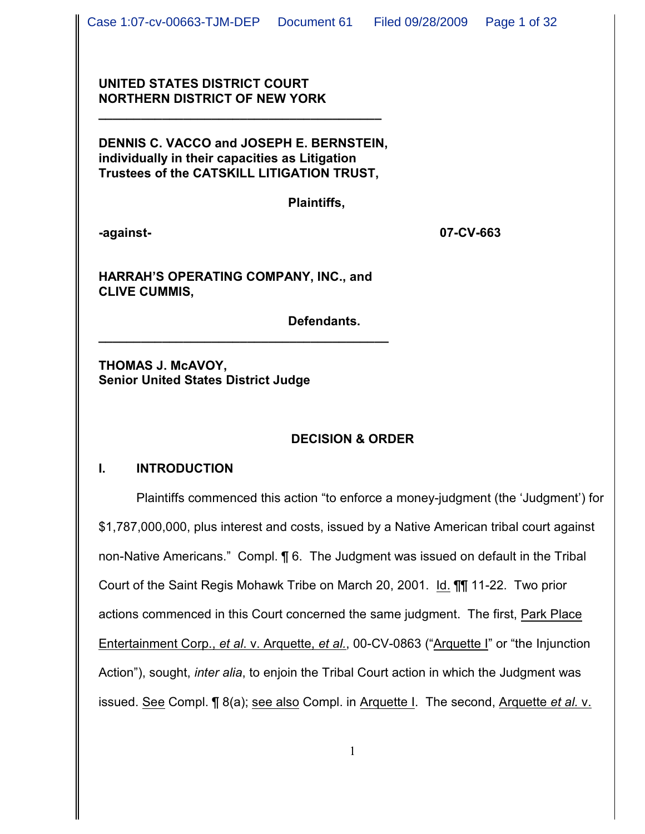## **UNITED STATES DISTRICT COURT NORTHERN DISTRICT OF NEW YORK**

**DENNIS C. VACCO and JOSEPH E. BERNSTEIN, individually in their capacities as Litigation Trustees of the CATSKILL LITIGATION TRUST,**

**\_\_\_\_\_\_\_\_\_\_\_\_\_\_\_\_\_\_\_\_\_\_\_\_\_\_\_\_\_\_\_\_\_\_\_\_\_\_\_\_**

**Plaintiffs,**

**-against- 07-CV-663**

**HARRAH'S OPERATING COMPANY, INC., and CLIVE CUMMIS,** 

**\_\_\_\_\_\_\_\_\_\_\_\_\_\_\_\_\_\_\_\_\_\_\_\_\_\_\_\_\_\_\_\_\_\_\_\_\_\_\_\_\_**

**Defendants.**

**THOMAS J. McAVOY, Senior United States District Judge**

# **DECISION & ORDER**

### **I. INTRODUCTION**

Plaintiffs commenced this action "to enforce a money-judgment (the 'Judgment') for \$1,787,000,000, plus interest and costs, issued by a Native American tribal court against non-Native Americans." Compl. ¶ 6. The Judgment was issued on default in the Tribal Court of the Saint Regis Mohawk Tribe on March 20, 2001. Id. ¶¶ 11-22. Two prior actions commenced in this Court concerned the same judgment. The first, Park Place Entertainment Corp., *et al*. v. Arquette, *et al.*, 00-CV-0863 ("Arquette I" or "the Injunction Action"), sought, *inter alia*, to enjoin the Tribal Court action in which the Judgment was issued. See Compl. ¶ 8(a); see also Compl. in Arquette I. The second, Arquette *et al.* v.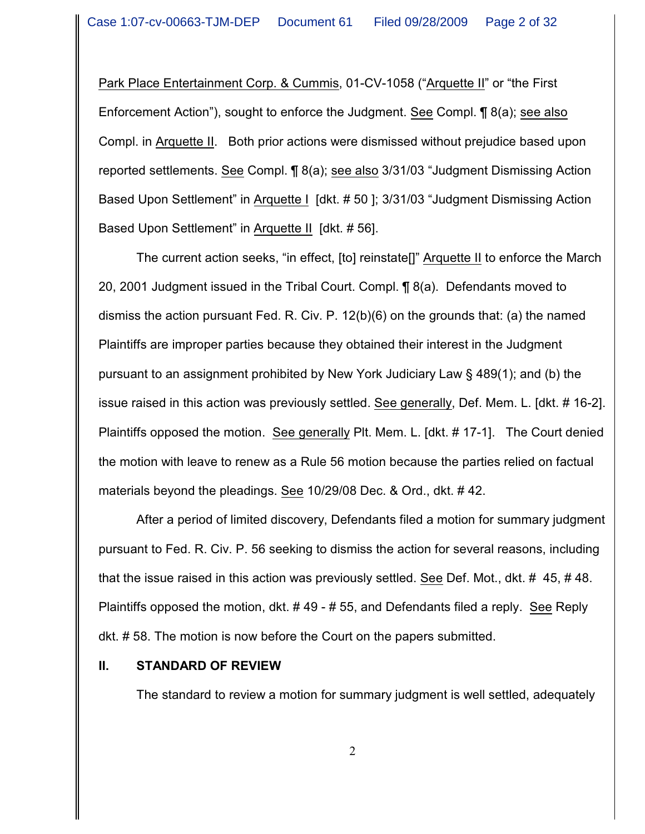Park Place Entertainment Corp. & Cummis, 01-CV-1058 ("Arquette II" or "the First Enforcement Action"), sought to enforce the Judgment. See Compl. ¶ 8(a); see also Compl. in Arquette II. Both prior actions were dismissed without prejudice based upon reported settlements. See Compl. ¶ 8(a); see also 3/31/03 "Judgment Dismissing Action Based Upon Settlement" in Arquette I [dkt. # 50 ]; 3/31/03 "Judgment Dismissing Action Based Upon Settlement" in Arquette II [dkt. # 56].

The current action seeks, "in effect, [to] reinstate[]" Arquette II to enforce the March 20, 2001 Judgment issued in the Tribal Court. Compl. ¶ 8(a). Defendants moved to dismiss the action pursuant Fed. R. Civ. P. 12(b)(6) on the grounds that: (a) the named Plaintiffs are improper parties because they obtained their interest in the Judgment pursuant to an assignment prohibited by New York Judiciary Law § 489(1); and (b) the issue raised in this action was previously settled. See generally, Def. Mem. L. [dkt. # 16-2]. Plaintiffs opposed the motion. See generally Plt. Mem. L. [dkt. # 17-1]. The Court denied the motion with leave to renew as a Rule 56 motion because the parties relied on factual materials beyond the pleadings. See 10/29/08 Dec. & Ord., dkt. # 42.

After a period of limited discovery, Defendants filed a motion for summary judgment pursuant to Fed. R. Civ. P. 56 seeking to dismiss the action for several reasons, including that the issue raised in this action was previously settled. See Def. Mot., dkt. # 45, # 48. Plaintiffs opposed the motion, dkt. # 49 - # 55, and Defendants filed a reply. See Reply dkt. # 58. The motion is now before the Court on the papers submitted.

#### **II. STANDARD OF REVIEW**

The standard to review a motion for summary judgment is well settled, adequately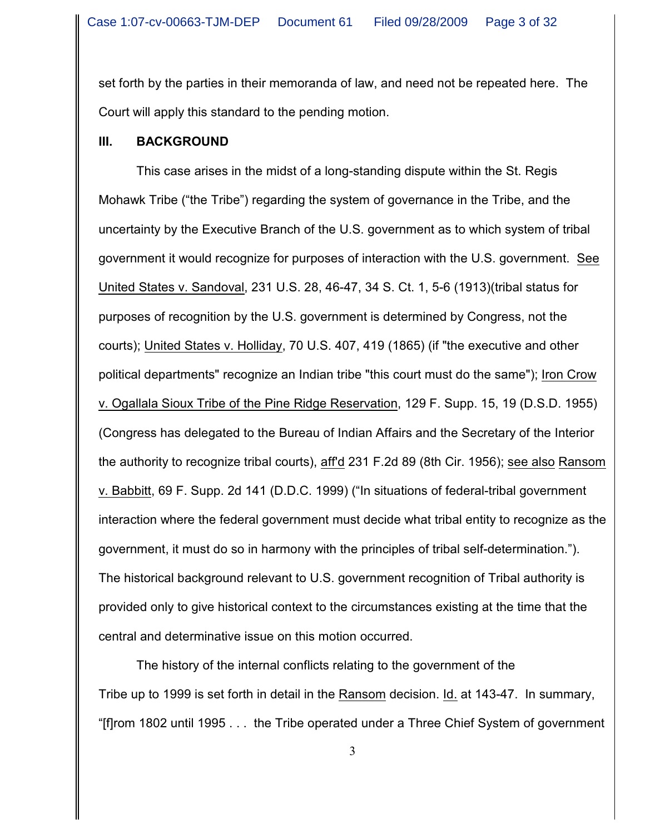set forth by the parties in their memoranda of law, and need not be repeated here. The Court will apply this standard to the pending motion.

#### **III. BACKGROUND**

This case arises in the midst of a long-standing dispute within the St. Regis Mohawk Tribe ("the Tribe") regarding the system of governance in the Tribe, and the uncertainty by the Executive Branch of the U.S. government as to which system of tribal government it would recognize for purposes of interaction with the U.S. government. See United States v. Sandoval, 231 U.S. 28, 46-47, 34 S. Ct. 1, 5-6 (1913)(tribal status for purposes of recognition by the U.S. government is determined by Congress, not the courts); United States v. Holliday, 70 U.S. 407, 419 (1865) (if "the executive and other political departments" recognize an Indian tribe "this court must do the same"); Iron Crow v. Ogallala Sioux Tribe of the Pine Ridge Reservation, 129 F. Supp. 15, 19 (D.S.D. 1955) (Congress has delegated to the Bureau of Indian Affairs and the Secretary of the Interior the authority to recognize tribal courts), aff'd 231 F.2d 89 (8th Cir. 1956); see also Ransom v. Babbitt, 69 F. Supp. 2d 141 (D.D.C. 1999) ("In situations of federal-tribal government interaction where the federal government must decide what tribal entity to recognize as the government, it must do so in harmony with the principles of tribal self-determination."). The historical background relevant to U.S. government recognition of Tribal authority is provided only to give historical context to the circumstances existing at the time that the central and determinative issue on this motion occurred.

The history of the internal conflicts relating to the government of the Tribe up to 1999 is set forth in detail in the Ransom decision. Id. at 143-47. In summary, "[f]rom 1802 until 1995 . . . the Tribe operated under a Three Chief System of government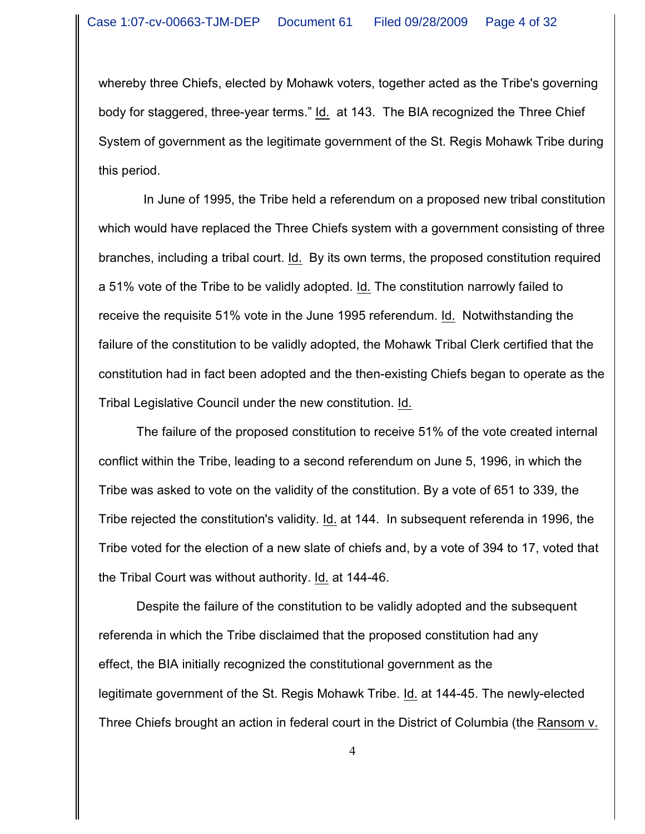whereby three Chiefs, elected by Mohawk voters, together acted as the Tribe's governing body for staggered, three-year terms." Id. at 143. The BIA recognized the Three Chief System of government as the legitimate government of the St. Regis Mohawk Tribe during this period.

 In June of 1995, the Tribe held a referendum on a proposed new tribal constitution which would have replaced the Three Chiefs system with a government consisting of three branches, including a tribal court. Id. By its own terms, the proposed constitution required a 51% vote of the Tribe to be validly adopted. Id. The constitution narrowly failed to receive the requisite 51% vote in the June 1995 referendum. Id. Notwithstanding the failure of the constitution to be validly adopted, the Mohawk Tribal Clerk certified that the constitution had in fact been adopted and the then-existing Chiefs began to operate as the Tribal Legislative Council under the new constitution. Id.

The failure of the proposed constitution to receive 51% of the vote created internal conflict within the Tribe, leading to a second referendum on June 5, 1996, in which the Tribe was asked to vote on the validity of the constitution. By a vote of 651 to 339, the Tribe rejected the constitution's validity. Id. at 144. In subsequent referenda in 1996, the Tribe voted for the election of a new slate of chiefs and, by a vote of 394 to 17, voted that the Tribal Court was without authority. Id. at 144-46.

Despite the failure of the constitution to be validly adopted and the subsequent referenda in which the Tribe disclaimed that the proposed constitution had any effect, the BIA initially recognized the constitutional government as the legitimate government of the St. Regis Mohawk Tribe. Id. at 144-45. The newly-elected Three Chiefs brought an action in federal court in the District of Columbia (the Ransom v.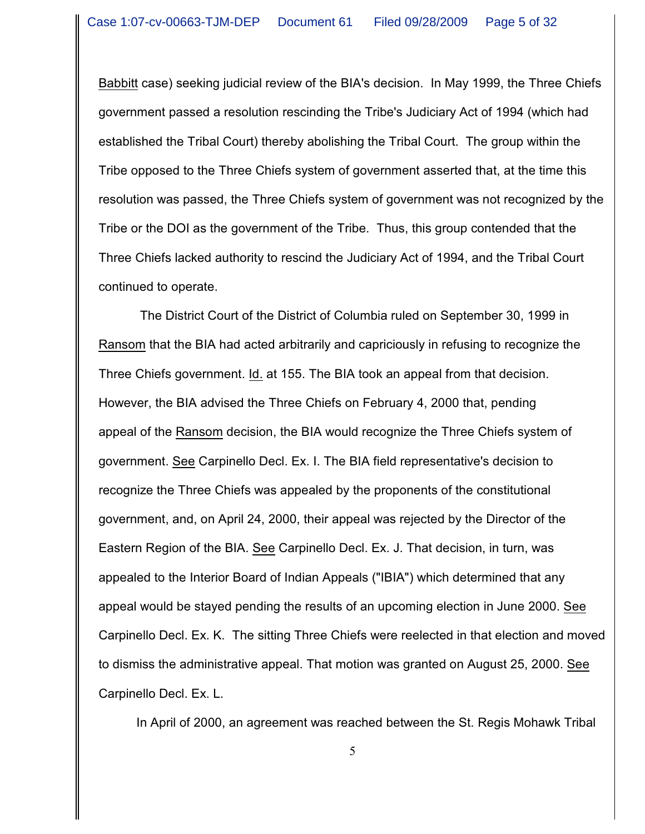Babbitt case) seeking judicial review of the BIA's decision. In May 1999, the Three Chiefs government passed a resolution rescinding the Tribe's Judiciary Act of 1994 (which had established the Tribal Court) thereby abolishing the Tribal Court. The group within the Tribe opposed to the Three Chiefs system of government asserted that, at the time this resolution was passed, the Three Chiefs system of government was not recognized by the Tribe or the DOI as the government of the Tribe. Thus, this group contended that the Three Chiefs lacked authority to rescind the Judiciary Act of 1994, and the Tribal Court continued to operate.

 The District Court of the District of Columbia ruled on September 30, 1999 in Ransom that the BIA had acted arbitrarily and capriciously in refusing to recognize the Three Chiefs government. Id. at 155. The BIA took an appeal from that decision. However, the BIA advised the Three Chiefs on February 4, 2000 that, pending appeal of the Ransom decision, the BIA would recognize the Three Chiefs system of government. See Carpinello Decl. Ex. I. The BIA field representative's decision to recognize the Three Chiefs was appealed by the proponents of the constitutional government, and, on April 24, 2000, their appeal was rejected by the Director of the Eastern Region of the BIA. See Carpinello Decl. Ex. J. That decision, in turn, was appealed to the Interior Board of Indian Appeals ("IBIA") which determined that any appeal would be stayed pending the results of an upcoming election in June 2000. See Carpinello Decl. Ex. K. The sitting Three Chiefs were reelected in that election and moved to dismiss the administrative appeal. That motion was granted on August 25, 2000. See Carpinello Decl. Ex. L.

In April of 2000, an agreement was reached between the St. Regis Mohawk Tribal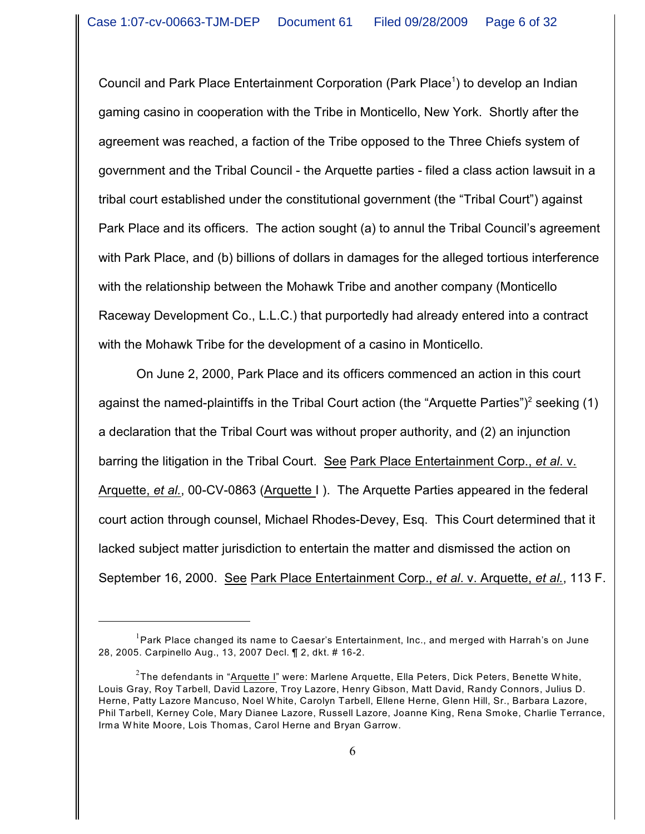Council and Park Place Entertainment Corporation (Park Place<sup>1</sup>) to develop an Indian gaming casino in cooperation with the Tribe in Monticello, New York. Shortly after the agreement was reached, a faction of the Tribe opposed to the Three Chiefs system of government and the Tribal Council - the Arquette parties - filed a class action lawsuit in a tribal court established under the constitutional government (the "Tribal Court") against Park Place and its officers. The action sought (a) to annul the Tribal Council's agreement with Park Place, and (b) billions of dollars in damages for the alleged tortious interference with the relationship between the Mohawk Tribe and another company (Monticello Raceway Development Co., L.L.C.) that purportedly had already entered into a contract with the Mohawk Tribe for the development of a casino in Monticello.

On June 2, 2000, Park Place and its officers commenced an action in this court against the named-plaintiffs in the Tribal Court action (the "Arquette Parties")<sup>2</sup> seeking (1) a declaration that the Tribal Court was without proper authority, and (2) an injunction barring the litigation in the Tribal Court. See Park Place Entertainment Corp., *et al*. v. Arquette, *et al.*, 00-CV-0863 (Arquette I ). The Arquette Parties appeared in the federal court action through counsel, Michael Rhodes-Devey, Esq. This Court determined that it lacked subject matter jurisdiction to entertain the matter and dismissed the action on September 16, 2000. See Park Place Entertainment Corp., *et al*. v. Arquette, *et al.*, 113 F.

 $^{\rm 1}$ Park Place changed its name to Caesar's Entertainment, Inc., and merged with Harrah's on June 28, 2005. Carpinello Aug., 13, 2007 Decl. ¶ 2, dkt. # 16-2.

 $^2$ The defendants in "<u>Arquette I</u>" were: Marlene Arquette, Ella Peters, Dick Peters, Benette White, Louis Gray, Roy Tarbell, David Lazore, Troy Lazore, Henry Gibson, Matt David, Randy Connors, Julius D. Herne, Patty Lazore Mancuso, Noel W hite, Carolyn Tarbell, Ellene Herne, Glenn Hill, Sr., Barbara Lazore, Phil Tarbell, Kerney Cole, Mary Dianee Lazore, Russell Lazore, Joanne King, Rena Smoke, Charlie Terrance, Irma W hite Moore, Lois Thomas, Carol Herne and Bryan Garrow.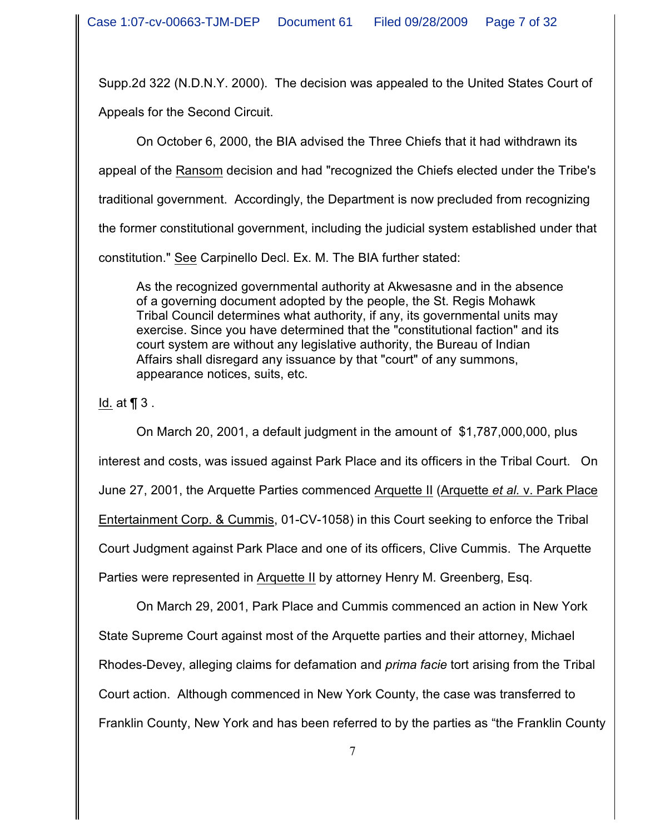Supp.2d 322 (N.D.N.Y. 2000). The decision was appealed to the United States Court of Appeals for the Second Circuit.

On October 6, 2000, the BIA advised the Three Chiefs that it had withdrawn its

appeal of the Ransom decision and had "recognized the Chiefs elected under the Tribe's

traditional government. Accordingly, the Department is now precluded from recognizing

the former constitutional government, including the judicial system established under that

constitution." See Carpinello Decl. Ex. M. The BIA further stated:

As the recognized governmental authority at Akwesasne and in the absence of a governing document adopted by the people, the St. Regis Mohawk Tribal Council determines what authority, if any, its governmental units may exercise. Since you have determined that the "constitutional faction" and its court system are without any legislative authority, the Bureau of Indian Affairs shall disregard any issuance by that "court" of any summons, appearance notices, suits, etc.

Id. at ¶ 3 .

On March 20, 2001, a default judgment in the amount of \$1,787,000,000, plus interest and costs, was issued against Park Place and its officers in the Tribal Court. On June 27, 2001, the Arquette Parties commenced Arquette II (Arquette *et al.* v. Park Place Entertainment Corp. & Cummis, 01-CV-1058) in this Court seeking to enforce the Tribal Court Judgment against Park Place and one of its officers, Clive Cummis. The Arquette Parties were represented in Arquette II by attorney Henry M. Greenberg, Esq.

On March 29, 2001, Park Place and Cummis commenced an action in New York State Supreme Court against most of the Arquette parties and their attorney, Michael Rhodes-Devey, alleging claims for defamation and *prima facie* tort arising from the Tribal Court action. Although commenced in New York County, the case was transferred to Franklin County, New York and has been referred to by the parties as "the Franklin County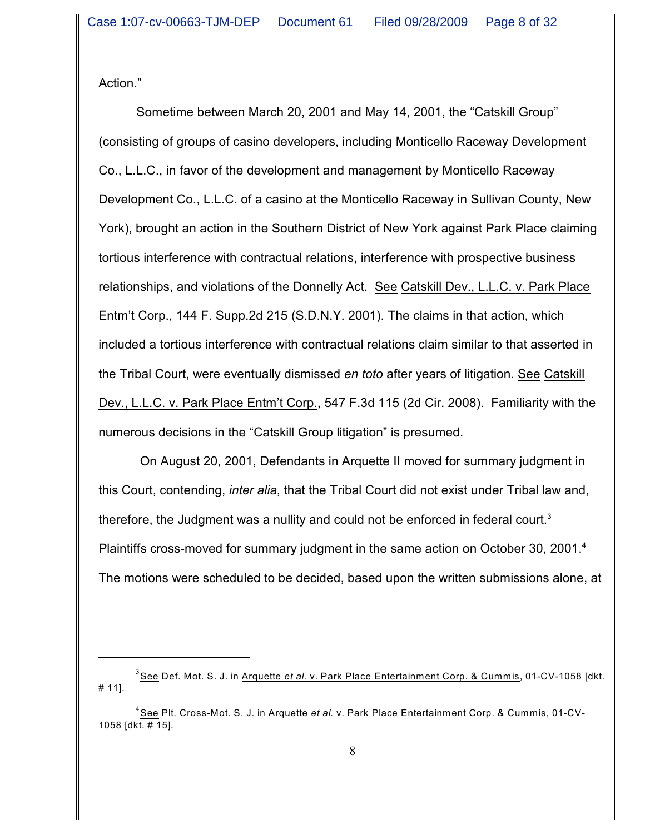Action."

Sometime between March 20, 2001 and May 14, 2001, the "Catskill Group" (consisting of groups of casino developers, including Monticello Raceway Development Co., L.L.C., in favor of the development and management by Monticello Raceway Development Co., L.L.C. of a casino at the Monticello Raceway in Sullivan County, New York), brought an action in the Southern District of New York against Park Place claiming tortious interference with contractual relations, interference with prospective business relationships, and violations of the Donnelly Act. See Catskill Dev., L.L.C. v. Park Place Entm't Corp., 144 F. Supp.2d 215 (S.D.N.Y. 2001). The claims in that action, which included a tortious interference with contractual relations claim similar to that asserted in the Tribal Court, were eventually dismissed *en toto* after years of litigation. See Catskill Dev., L.L.C. v. Park Place Entm't Corp., 547 F.3d 115 (2d Cir. 2008). Familiarity with the numerous decisions in the "Catskill Group litigation" is presumed.

 On August 20, 2001, Defendants in Arquette II moved for summary judgment in this Court, contending, *inter alia*, that the Tribal Court did not exist under Tribal law and, therefore, the Judgment was a nullity and could not be enforced in federal court.<sup>3</sup> Plaintiffs cross-moved for summary judgment in the same action on October 30, 2001.<sup>4</sup> The motions were scheduled to be decided, based upon the written submissions alone, at

<sup>&</sup>lt;sup>3</sup> See Def. Mot. S. J. in <u>Arquette *et al.* v. Park Place Entertainment Corp. & Cummis</u>, 01-CV-1058 [dkt. # 11].

<sup>&</sup>lt;sup>4</sup> See Plt. Cross-Mot. S. J. in <u>Arquette *et al.* v. Park Place Entertainment Corp. & Cummis</u>, 01-CV-1058 [dkt. # 15].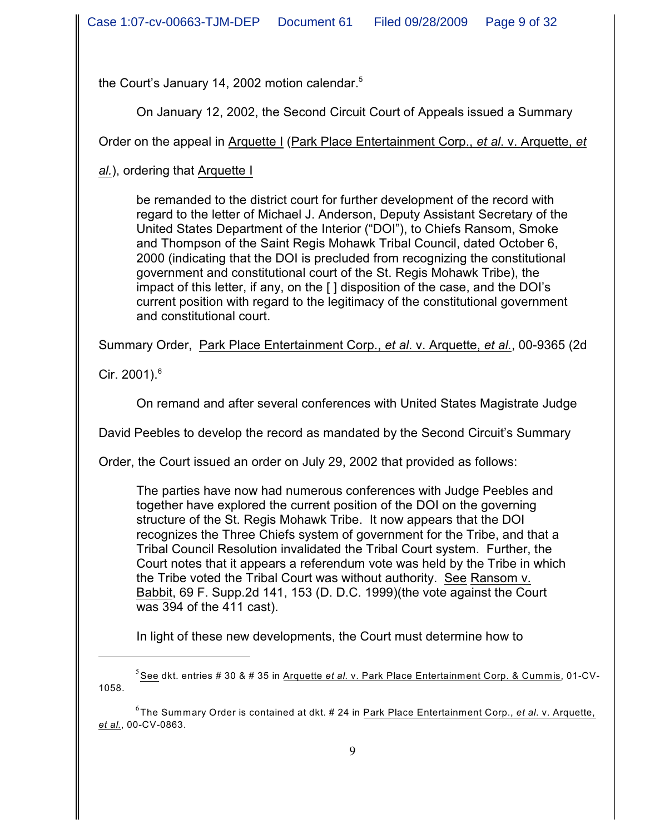the Court's January 14, 2002 motion calendar.<sup>5</sup>

On January 12, 2002, the Second Circuit Court of Appeals issued a Summary

Order on the appeal in Arquette I (Park Place Entertainment Corp., *et al*. v. Arquette, *et*

*al.*), ordering that Arquette I

be remanded to the district court for further development of the record with regard to the letter of Michael J. Anderson, Deputy Assistant Secretary of the United States Department of the Interior ("DOI"), to Chiefs Ransom, Smoke and Thompson of the Saint Regis Mohawk Tribal Council, dated October 6, 2000 (indicating that the DOI is precluded from recognizing the constitutional government and constitutional court of the St. Regis Mohawk Tribe), the impact of this letter, if any, on the [ ] disposition of the case, and the DOI's current position with regard to the legitimacy of the constitutional government and constitutional court.

Summary Order, Park Place Entertainment Corp., *et al*. v. Arquette, *et al.*, 00-9365 (2d

Cir. 2001). $^{6}$ 

On remand and after several conferences with United States Magistrate Judge

David Peebles to develop the record as mandated by the Second Circuit's Summary

Order, the Court issued an order on July 29, 2002 that provided as follows:

The parties have now had numerous conferences with Judge Peebles and together have explored the current position of the DOI on the governing structure of the St. Regis Mohawk Tribe. It now appears that the DOI recognizes the Three Chiefs system of government for the Tribe, and that a Tribal Council Resolution invalidated the Tribal Court system. Further, the Court notes that it appears a referendum vote was held by the Tribe in which the Tribe voted the Tribal Court was without authority. See Ransom v. Babbit, 69 F. Supp.2d 141, 153 (D. D.C. 1999)(the vote against the Court was 394 of the 411 cast).

In light of these new developments, the Court must determine how to

<sup>&</sup>lt;sup>5</sup> See dkt. entries # 30 & # 35 in Arquette e*t al.* v. Park Place Entertainment Corp. & Cummis, 01-CV-1058.

<sup>&</sup>lt;sup>6</sup>The Summary Order is contained at dkt. # 24 in <u>Park Place Entertainment Corp., *et al*. v. Arquette,</u> *et al.*, 00-CV-0863.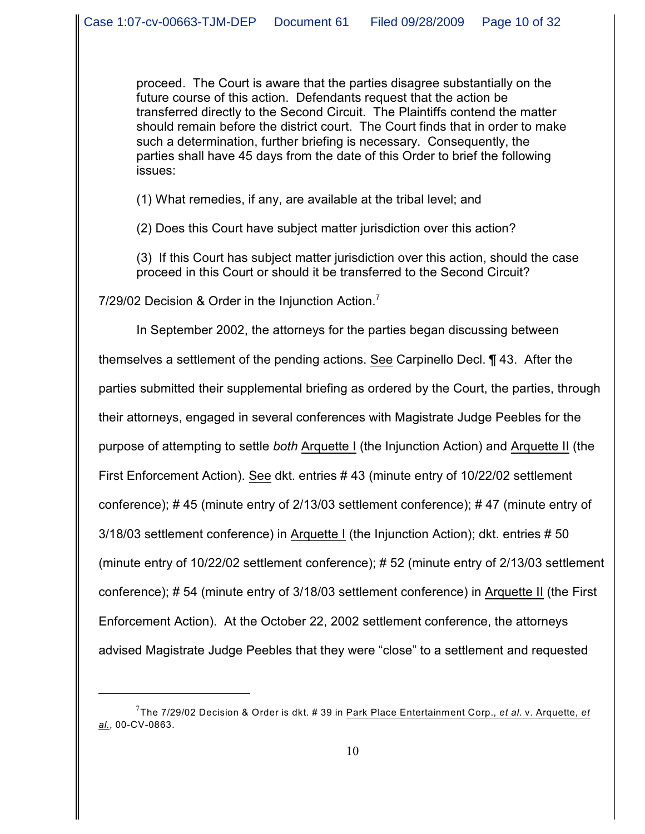proceed. The Court is aware that the parties disagree substantially on the future course of this action. Defendants request that the action be transferred directly to the Second Circuit. The Plaintiffs contend the matter should remain before the district court. The Court finds that in order to make such a determination, further briefing is necessary. Consequently, the parties shall have 45 days from the date of this Order to brief the following issues:

(1) What remedies, if any, are available at the tribal level; and

(2) Does this Court have subject matter jurisdiction over this action?

(3) If this Court has subject matter jurisdiction over this action, should the case proceed in this Court or should it be transferred to the Second Circuit?

7/29/02 Decision & Order in the Injunction Action.<sup>7</sup>

In September 2002, the attorneys for the parties began discussing between themselves a settlement of the pending actions. See Carpinello Decl. ¶ 43. After the parties submitted their supplemental briefing as ordered by the Court, the parties, through their attorneys, engaged in several conferences with Magistrate Judge Peebles for the purpose of attempting to settle *both* Arquette I (the Injunction Action) and Arquette II (the First Enforcement Action). See dkt. entries # 43 (minute entry of 10/22/02 settlement conference); # 45 (minute entry of 2/13/03 settlement conference); # 47 (minute entry of 3/18/03 settlement conference) in Arquette I (the Injunction Action); dkt. entries # 50 (minute entry of 10/22/02 settlement conference); # 52 (minute entry of 2/13/03 settlement conference); # 54 (minute entry of 3/18/03 settlement conference) in Arquette II (the First Enforcement Action). At the October 22, 2002 settlement conference, the attorneys advised Magistrate Judge Peebles that they were "close" to a settlement and requested

The 7/29/02 Decision & Order is dkt. # 39 in Park Place Entertainment Corp., *et al*. v. Arquette, *et* 7 *al.*, 00-CV-0863.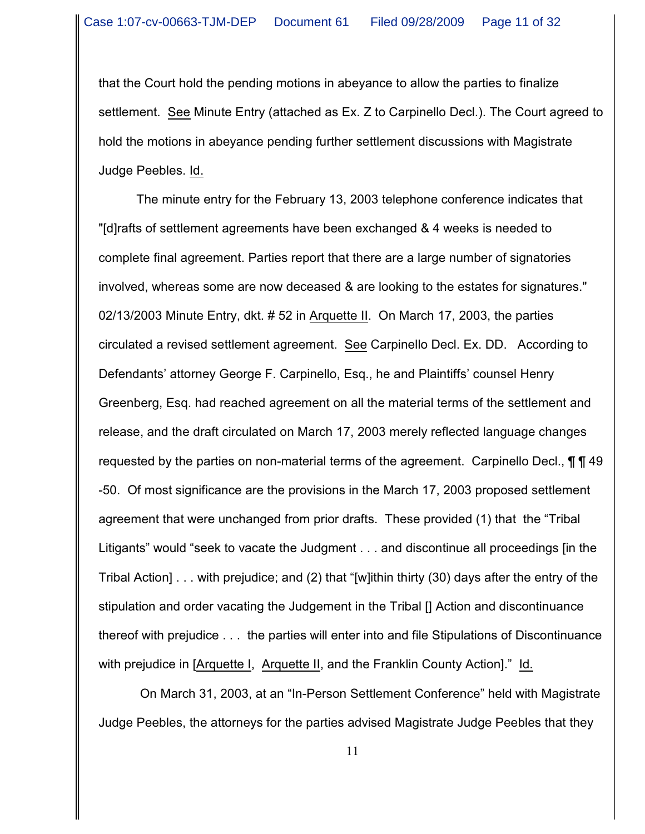that the Court hold the pending motions in abeyance to allow the parties to finalize settlement. See Minute Entry (attached as Ex. Z to Carpinello Decl.). The Court agreed to hold the motions in abeyance pending further settlement discussions with Magistrate Judge Peebles. Id.

The minute entry for the February 13, 2003 telephone conference indicates that "[d]rafts of settlement agreements have been exchanged & 4 weeks is needed to complete final agreement. Parties report that there are a large number of signatories involved, whereas some are now deceased & are looking to the estates for signatures." 02/13/2003 Minute Entry, dkt. # 52 in Arquette II. On March 17, 2003, the parties circulated a revised settlement agreement. See Carpinello Decl. Ex. DD. According to Defendants' attorney George F. Carpinello, Esq., he and Plaintiffs' counsel Henry Greenberg, Esq. had reached agreement on all the material terms of the settlement and release, and the draft circulated on March 17, 2003 merely reflected language changes requested by the parties on non-material terms of the agreement. Carpinello Decl.,  $\P\P$  49 -50. Of most significance are the provisions in the March 17, 2003 proposed settlement agreement that were unchanged from prior drafts. These provided (1) that the "Tribal Litigants" would "seek to vacate the Judgment . . . and discontinue all proceedings [in the Tribal Action] . . . with prejudice; and (2) that "[w]ithin thirty (30) days after the entry of the stipulation and order vacating the Judgement in the Tribal [] Action and discontinuance thereof with prejudice . . . the parties will enter into and file Stipulations of Discontinuance with prejudice in [Arquette I, Arquette II, and the Franklin County Action]." Id.

 On March 31, 2003, at an "In-Person Settlement Conference" held with Magistrate Judge Peebles, the attorneys for the parties advised Magistrate Judge Peebles that they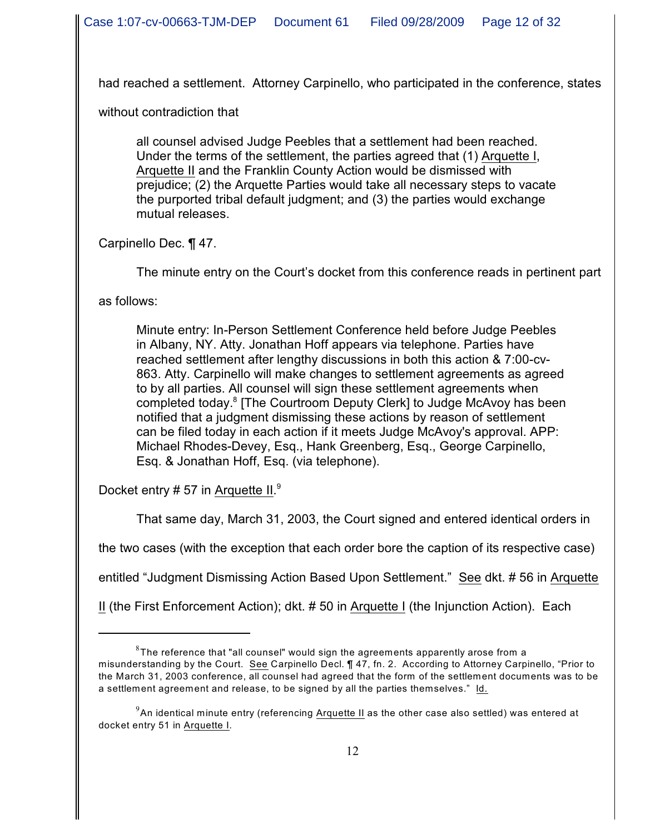had reached a settlement. Attorney Carpinello, who participated in the conference, states

without contradiction that

all counsel advised Judge Peebles that a settlement had been reached. Under the terms of the settlement, the parties agreed that (1) Arquette I, Arquette II and the Franklin County Action would be dismissed with prejudice; (2) the Arquette Parties would take all necessary steps to vacate the purported tribal default judgment; and (3) the parties would exchange mutual releases.

Carpinello Dec. ¶ 47.

The minute entry on the Court's docket from this conference reads in pertinent part

as follows:

Minute entry: In-Person Settlement Conference held before Judge Peebles in Albany, NY. Atty. Jonathan Hoff appears via telephone. Parties have reached settlement after lengthy discussions in both this action & 7:00-cv-863. Atty. Carpinello will make changes to settlement agreements as agreed to by all parties. All counsel will sign these settlement agreements when completed today.<sup>8</sup> [The Courtroom Deputy Clerk] to Judge McAvoy has been notified that a judgment dismissing these actions by reason of settlement can be filed today in each action if it meets Judge McAvoy's approval. APP: Michael Rhodes-Devey, Esq., Hank Greenberg, Esq., George Carpinello, Esq. & Jonathan Hoff, Esq. (via telephone).

Docket entry # 57 in Arquette II.<sup>9</sup>

That same day, March 31, 2003, the Court signed and entered identical orders in

the two cases (with the exception that each order bore the caption of its respective case)

entitled "Judgment Dismissing Action Based Upon Settlement." See dkt. # 56 in Arquette

II (the First Enforcement Action); dkt. # 50 in Arquette I (the Injunction Action). Each

 $^8\!$ The reference that "all counsel" would sign the agreements apparently arose from a misunderstanding by the Court. See Carpinello Decl. ¶ 47, fn. 2. According to Attorney Carpinello, "Prior to the March 31, 2003 conference, all counsel had agreed that the form of the settlement documents was to be a settlement agreement and release, to be signed by all the parties themselves." Id.

 $^9$ An identical minute entry (referencing <u>Arquette II</u> as the other case also settled) was entered at docket entry 51 in Arquette I.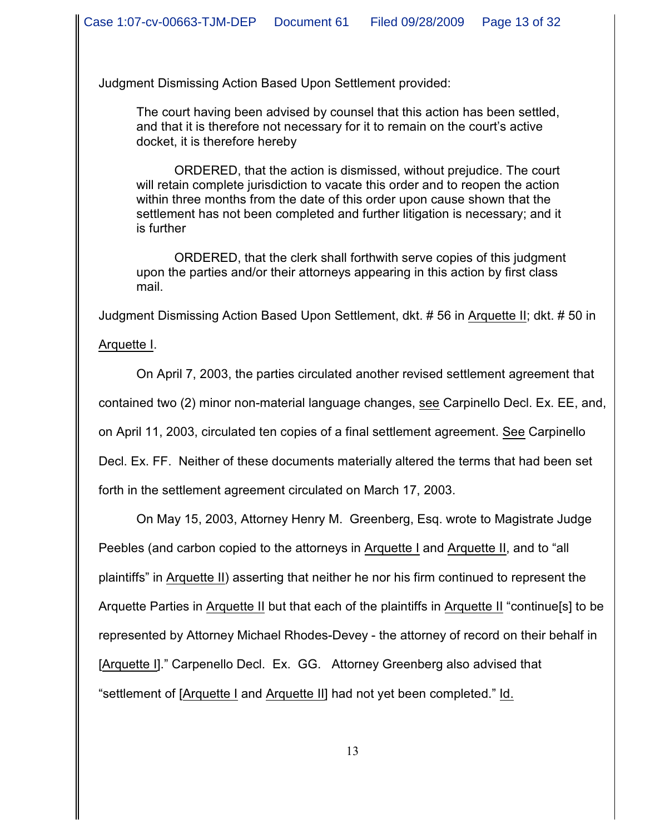Judgment Dismissing Action Based Upon Settlement provided:

The court having been advised by counsel that this action has been settled, and that it is therefore not necessary for it to remain on the court's active docket, it is therefore hereby

ORDERED, that the action is dismissed, without prejudice. The court will retain complete jurisdiction to vacate this order and to reopen the action within three months from the date of this order upon cause shown that the settlement has not been completed and further litigation is necessary; and it is further

ORDERED, that the clerk shall forthwith serve copies of this judgment upon the parties and/or their attorneys appearing in this action by first class mail.

Judgment Dismissing Action Based Upon Settlement, dkt. # 56 in Arquette II; dkt. # 50 in

Arquette I.

On April 7, 2003, the parties circulated another revised settlement agreement that

contained two (2) minor non-material language changes, see Carpinello Decl. Ex. EE, and,

on April 11, 2003, circulated ten copies of a final settlement agreement. See Carpinello

Decl. Ex. FF. Neither of these documents materially altered the terms that had been set

forth in the settlement agreement circulated on March 17, 2003.

On May 15, 2003, Attorney Henry M. Greenberg, Esq. wrote to Magistrate Judge Peebles (and carbon copied to the attorneys in Arquette I and Arquette II, and to "all plaintiffs" in Arquette II) asserting that neither he nor his firm continued to represent the Arquette Parties in Arquette II but that each of the plaintiffs in Arquette II "continue[s] to be represented by Attorney Michael Rhodes-Devey - the attorney of record on their behalf in [Arquette I]." Carpenello Decl. Ex. GG. Attorney Greenberg also advised that "settlement of [Arquette I and Arquette II] had not yet been completed." Id.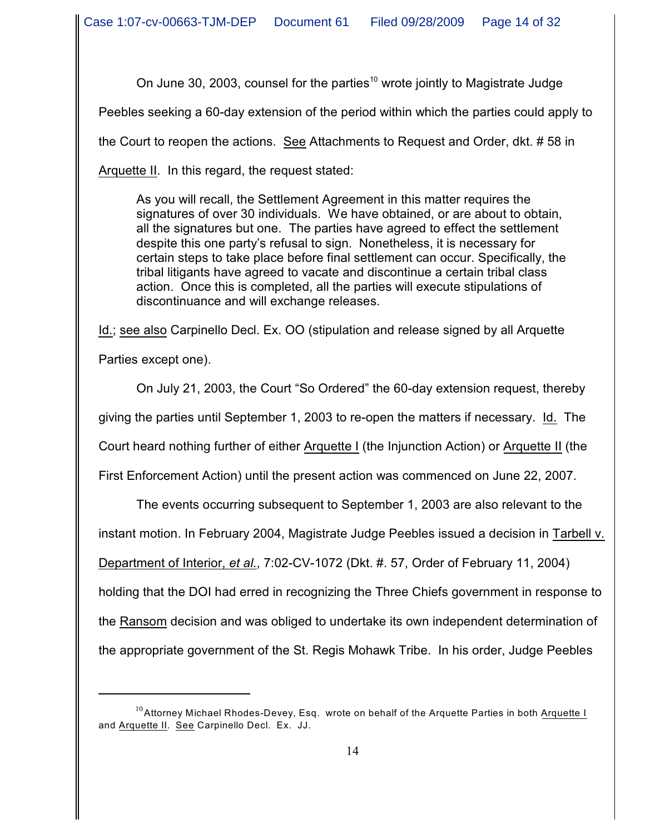On June 30, 2003, counsel for the parties<sup>10</sup> wrote jointly to Magistrate Judge

Peebles seeking a 60-day extension of the period within which the parties could apply to

the Court to reopen the actions. See Attachments to Request and Order, dkt. # 58 in

Arquette II. In this regard, the request stated:

As you will recall, the Settlement Agreement in this matter requires the signatures of over 30 individuals. We have obtained, or are about to obtain, all the signatures but one. The parties have agreed to effect the settlement despite this one party's refusal to sign. Nonetheless, it is necessary for certain steps to take place before final settlement can occur. Specifically, the tribal litigants have agreed to vacate and discontinue a certain tribal class action. Once this is completed, all the parties will execute stipulations of discontinuance and will exchange releases.

Id.; see also Carpinello Decl. Ex. OO (stipulation and release signed by all Arquette Parties except one).

On July 21, 2003, the Court "So Ordered" the 60-day extension request, thereby giving the parties until September 1, 2003 to re-open the matters if necessary. Id. The

Court heard nothing further of either Arquette I (the Injunction Action) or Arquette II (the

First Enforcement Action) until the present action was commenced on June 22, 2007.

The events occurring subsequent to September 1, 2003 are also relevant to the instant motion. In February 2004, Magistrate Judge Peebles issued a decision in Tarbell v. Department of Interior, *et al.*, 7:02-CV-1072 (Dkt. #. 57, Order of February 11, 2004) holding that the DOI had erred in recognizing the Three Chiefs government in response to the Ransom decision and was obliged to undertake its own independent determination of the appropriate government of the St. Regis Mohawk Tribe. In his order, Judge Peebles

 $^{\rm 10}$ Attorney Michael Rhodes-Devey, Esq.  $\,$  wrote on behalf of the Arquette Parties in both <u>Arquette I</u> and Arquette II. See Carpinello Decl. Ex. JJ.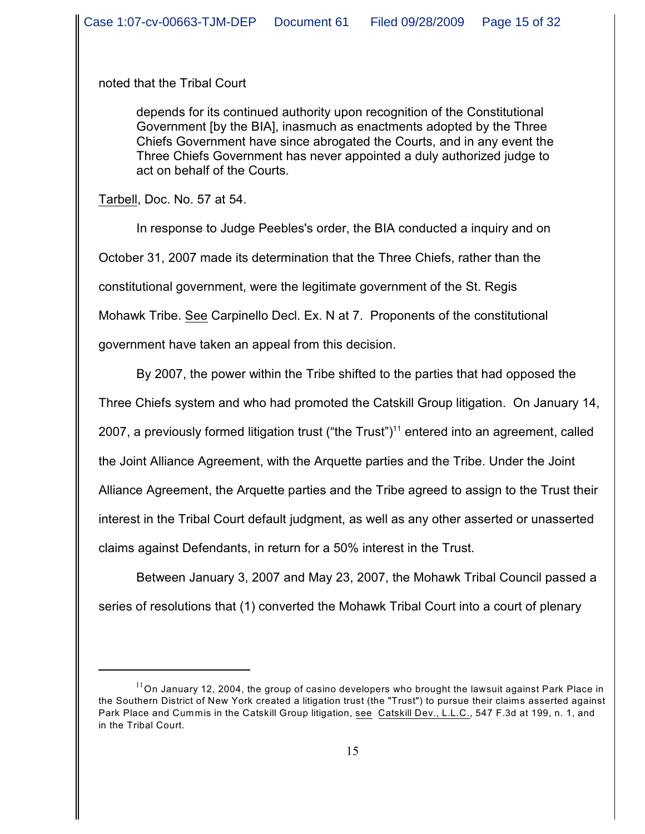noted that the Tribal Court

depends for its continued authority upon recognition of the Constitutional Government [by the BIA], inasmuch as enactments adopted by the Three Chiefs Government have since abrogated the Courts, and in any event the Three Chiefs Government has never appointed a duly authorized judge to act on behalf of the Courts.

Tarbell, Doc. No. 57 at 54.

In response to Judge Peebles's order, the BIA conducted a inquiry and on October 31, 2007 made its determination that the Three Chiefs, rather than the constitutional government, were the legitimate government of the St. Regis Mohawk Tribe. See Carpinello Decl. Ex. N at 7. Proponents of the constitutional government have taken an appeal from this decision.

By 2007, the power within the Tribe shifted to the parties that had opposed the Three Chiefs system and who had promoted the Catskill Group litigation. On January 14, 2007, a previously formed litigation trust ("the Trust")<sup>11</sup> entered into an agreement, called the Joint Alliance Agreement, with the Arquette parties and the Tribe. Under the Joint Alliance Agreement, the Arquette parties and the Tribe agreed to assign to the Trust their interest in the Tribal Court default judgment, as well as any other asserted or unasserted claims against Defendants, in return for a 50% interest in the Trust.

Between January 3, 2007 and May 23, 2007, the Mohawk Tribal Council passed a series of resolutions that (1) converted the Mohawk Tribal Court into a court of plenary

 $^{11}$ On January 12, 2004, the group of casino developers who brought the lawsuit against Park Place in the Southern District of New York created a litigation trust (the "Trust") to pursue their claims asserted against Park Place and Cummis in the Catskill Group litigation, see Catskill Dev., L.L.C., 547 F.3d at 199, n. 1, and in the Tribal Court.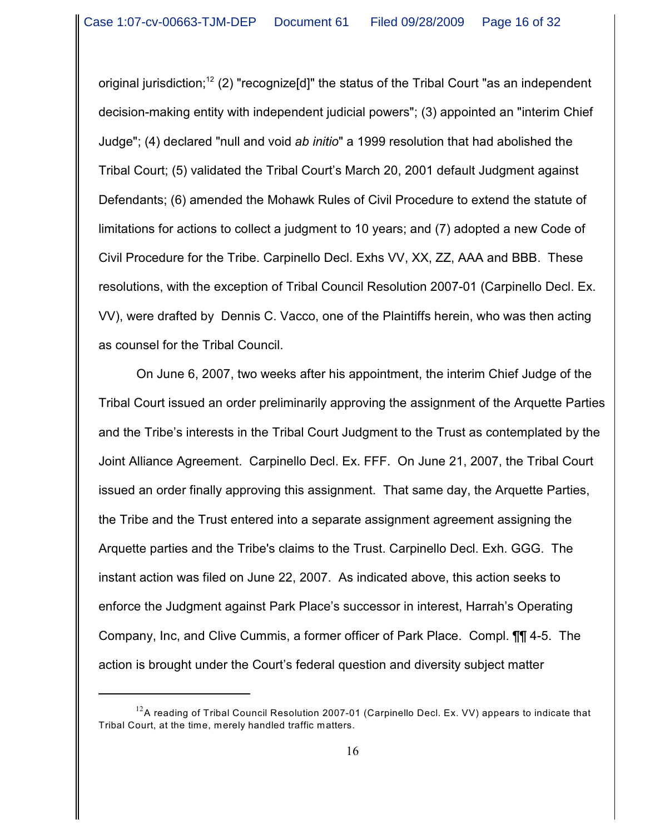original jurisdiction;<sup>12</sup> (2) "recognize[d]" the status of the Tribal Court "as an independent decision-making entity with independent judicial powers"; (3) appointed an "interim Chief Judge"; (4) declared "null and void *ab initio*" a 1999 resolution that had abolished the Tribal Court; (5) validated the Tribal Court's March 20, 2001 default Judgment against Defendants; (6) amended the Mohawk Rules of Civil Procedure to extend the statute of limitations for actions to collect a judgment to 10 years; and (7) adopted a new Code of Civil Procedure for the Tribe. Carpinello Decl. Exhs VV, XX, ZZ, AAA and BBB. These resolutions, with the exception of Tribal Council Resolution 2007-01 (Carpinello Decl. Ex. VV), were drafted by Dennis C. Vacco, one of the Plaintiffs herein, who was then acting as counsel for the Tribal Council.

On June 6, 2007, two weeks after his appointment, the interim Chief Judge of the Tribal Court issued an order preliminarily approving the assignment of the Arquette Parties and the Tribe's interests in the Tribal Court Judgment to the Trust as contemplated by the Joint Alliance Agreement. Carpinello Decl. Ex. FFF. On June 21, 2007, the Tribal Court issued an order finally approving this assignment. That same day, the Arquette Parties, the Tribe and the Trust entered into a separate assignment agreement assigning the Arquette parties and the Tribe's claims to the Trust. Carpinello Decl. Exh. GGG. The instant action was filed on June 22, 2007. As indicated above, this action seeks to enforce the Judgment against Park Place's successor in interest, Harrah's Operating Company, Inc, and Clive Cummis, a former officer of Park Place. Compl. ¶¶ 4-5. The action is brought under the Court's federal question and diversity subject matter

 $^{12}$ A reading of Tribal Council Resolution 2007-01 (Carpinello Decl. Ex. VV) appears to indicate that Tribal Court, at the time, merely handled traffic matters.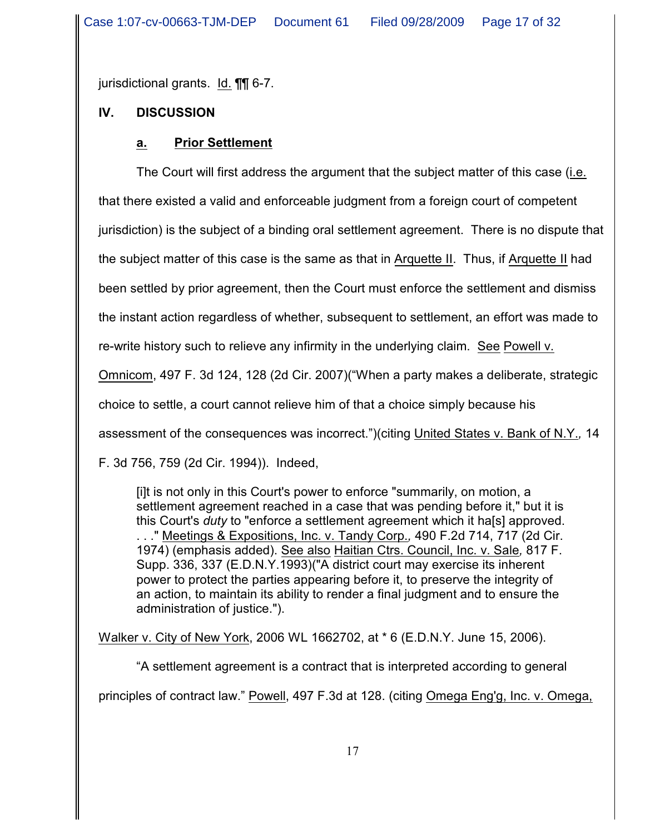jurisdictional grants. Id. ¶¶ 6-7.

# **IV. DISCUSSION**

## **a. Prior Settlement**

The Court will first address the argument that the subject matter of this case (i.e. that there existed a valid and enforceable judgment from a foreign court of competent jurisdiction) is the subject of a binding oral settlement agreement. There is no dispute that the subject matter of this case is the same as that in Arquette II. Thus, if Arquette II had been settled by prior agreement, then the Court must enforce the settlement and dismiss the instant action regardless of whether, subsequent to settlement, an effort was made to re-write history such to relieve any infirmity in the underlying claim. See Powell v. Omnicom, 497 F. 3d 124, 128 (2d Cir. 2007)("When a party makes a deliberate, strategic choice to settle, a court cannot relieve him of that a choice simply because his assessment of the consequences was incorrect.")(citing United States v. Bank of N.Y.*,* 14 F. 3d 756, 759 (2d Cir. 1994)). Indeed,

[i]t is not only in this Court's power to enforce "summarily, on motion, a settlement agreement reached in a case that was pending before it," but it is this Court's *duty* to "enforce a settlement agreement which it ha[s] approved. . . ." Meetings & Expositions, Inc. v. Tandy Corp.*,* 490 F.2d 714, 717 (2d Cir. 1974) (emphasis added). See also Haitian Ctrs. Council, Inc. v. Sale*,* 817 F. Supp. 336, 337 (E.D.N.Y.1993)("A district court may exercise its inherent power to protect the parties appearing before it, to preserve the integrity of an action, to maintain its ability to render a final judgment and to ensure the administration of justice.").

Walker v. City of New York, 2006 WL 1662702, at \* 6 (E.D.N.Y. June 15, 2006).

"A settlement agreement is a contract that is interpreted according to general principles of contract law." Powell, 497 F.3d at 128. (citing Omega Eng'g, Inc. v. Omega,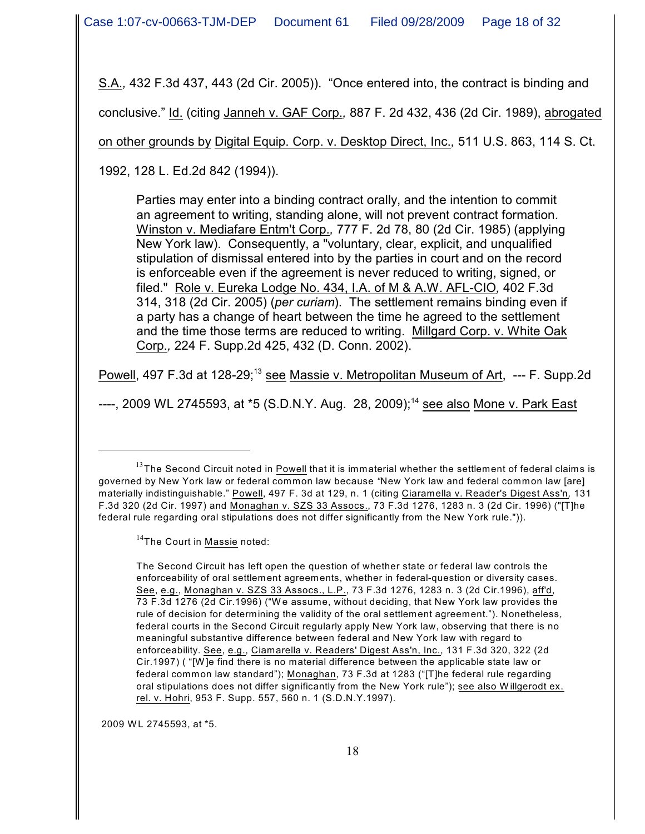S.A.*,* 432 F.3d 437, 443 (2d Cir. 2005)). "Once entered into, the contract is binding and

conclusive." Id. (citing Janneh v. GAF Corp.*,* 887 F. 2d 432, 436 (2d Cir. 1989), abrogated

on other grounds by Digital Equip. Corp. v. Desktop Direct, Inc.*,* 511 U.S. 863, 114 S. Ct.

1992, 128 L. Ed.2d 842 (1994)).

Parties may enter into a binding contract orally, and the intention to commit an agreement to writing, standing alone, will not prevent contract formation. Winston v. Mediafare Entm't Corp.*,* 777 F. 2d 78, 80 (2d Cir. 1985) (applying New York law). Consequently, a "voluntary, clear, explicit, and unqualified stipulation of dismissal entered into by the parties in court and on the record is enforceable even if the agreement is never reduced to writing, signed, or filed." Role v. Eureka Lodge No. 434, I.A. of M & A.W. AFL-CIO*,* 402 F.3d 314, 318 (2d Cir. 2005) (*per curiam*). The settlement remains binding even if a party has a change of heart between the time he agreed to the settlement and the time those terms are reduced to writing. Millgard Corp. v. White Oak Corp.*,* 224 F. Supp.2d 425, 432 (D. Conn. 2002).

Powell, 497 F.3d at 128-29;<sup>13</sup> see Massie v. Metropolitan Museum of Art, --- F. Supp.2d

----, 2009 WL 2745593, at  $*5$  (S.D.N.Y. Aug. 28, 2009);<sup>14</sup> see also Mone v. Park East

2009 W L 2745593, at \*5.

 $13$ The Second Circuit noted in Powell that it is immaterial whether the settlement of federal claims is governed by New York law or federal common law because *"*New York law and federal common law [are] materially indistinguishable." Powell, 497 F. 3d at 129, n. 1 (citing Ciaramella v. Reader's Digest Ass'n*,* 131 F.3d 320 (2d Cir. 1997) and Monaghan v. SZS 33 Assocs., 73 F.3d 1276, 1283 n. 3 (2d Cir. 1996) ("[T]he federal rule regarding oral stipulations does not differ significantly from the New York rule.")).

<sup>&</sup>lt;sup>14</sup>The Court in Massie noted:

The Second Circuit has left open the question of whether state or federal law controls the enforceability of oral settlement agreements, whether in federal-question or diversity cases. See, e.g., Monaghan v. SZS 33 Assocs., L.P., 73 F.3d 1276, 1283 n. 3 (2d Cir.1996), aff'd, 73 F.3d 1276 (2d Cir.1996) ("W e assume, without deciding, that New York law provides the rule of decision for determining the validity of the oral settlement agreement."). Nonetheless, federal courts in the Second Circuit regularly apply New York law, observing that there is no meaningful substantive difference between federal and New York law with regard to enforceability. See, e.g., Ciamarella v. Readers' Digest Ass'n, Inc., 131 F.3d 320, 322 (2d Cir.1997) ( "[W ]e find there is no material difference between the applicable state law or federal common law standard"); Monaghan, 73 F.3d at 1283 ("[T]he federal rule regarding oral stipulations does not differ significantly from the New York rule"); see also W illgerodt ex. rel. v. Hohri, 953 F. Supp. 557, 560 n. 1 (S.D.N.Y.1997).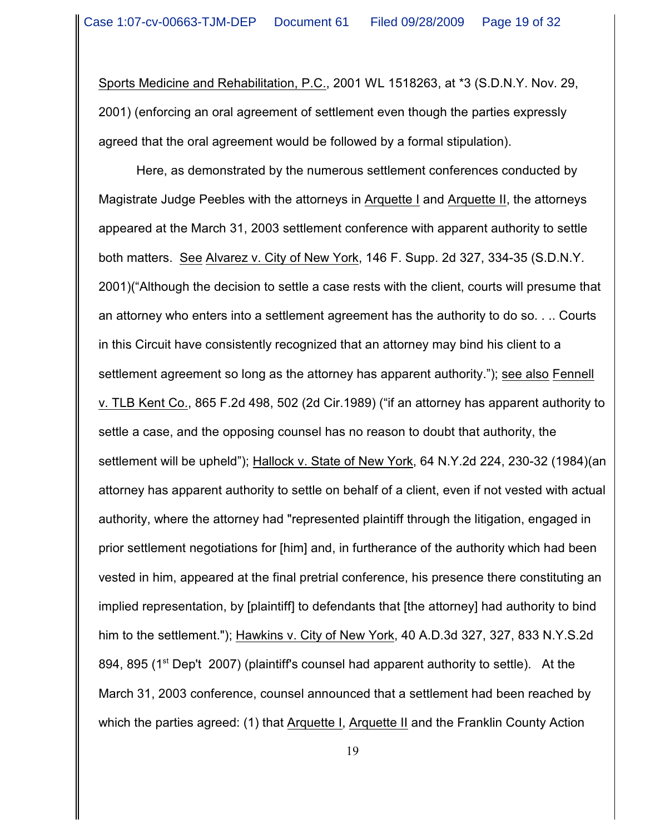Sports Medicine and Rehabilitation, P.C., 2001 WL 1518263, at \*3 (S.D.N.Y. Nov. 29, 2001) (enforcing an oral agreement of settlement even though the parties expressly agreed that the oral agreement would be followed by a formal stipulation).

Here, as demonstrated by the numerous settlement conferences conducted by Magistrate Judge Peebles with the attorneys in Arquette I and Arquette II, the attorneys appeared at the March 31, 2003 settlement conference with apparent authority to settle both matters. See Alvarez v. City of New York, 146 F. Supp. 2d 327, 334-35 (S.D.N.Y. 2001)("Although the decision to settle a case rests with the client, courts will presume that an attorney who enters into a settlement agreement has the authority to do so. . .. Courts in this Circuit have consistently recognized that an attorney may bind his client to a settlement agreement so long as the attorney has apparent authority."); see also Fennell v. TLB Kent Co., 865 F.2d 498, 502 (2d Cir.1989) ("if an attorney has apparent authority to settle a case, and the opposing counsel has no reason to doubt that authority, the settlement will be upheld"); Hallock v. State of New York, 64 N.Y.2d 224, 230-32 (1984)(an attorney has apparent authority to settle on behalf of a client, even if not vested with actual authority, where the attorney had "represented plaintiff through the litigation, engaged in prior settlement negotiations for [him] and, in furtherance of the authority which had been vested in him, appeared at the final pretrial conference, his presence there constituting an implied representation, by [plaintiff] to defendants that [the attorney] had authority to bind him to the settlement."); Hawkins v. City of New York, 40 A.D.3d 327, 327, 833 N.Y.S.2d 894, 895 (1<sup>st</sup> Dep't 2007) (plaintiff's counsel had apparent authority to settle). At the March 31, 2003 conference, counsel announced that a settlement had been reached by which the parties agreed: (1) that Arquette I, Arquette II and the Franklin County Action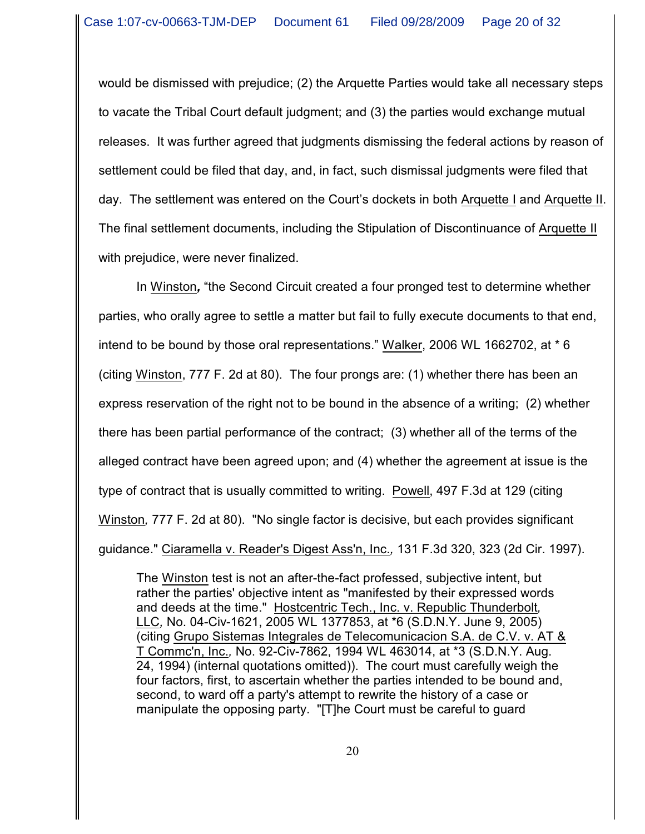would be dismissed with prejudice; (2) the Arquette Parties would take all necessary steps to vacate the Tribal Court default judgment; and (3) the parties would exchange mutual releases. It was further agreed that judgments dismissing the federal actions by reason of settlement could be filed that day, and, in fact, such dismissal judgments were filed that day. The settlement was entered on the Court's dockets in both Arquette I and Arquette II. The final settlement documents, including the Stipulation of Discontinuance of Arquette II with prejudice, were never finalized.

In Winston*,* "the Second Circuit created a four pronged test to determine whether parties, who orally agree to settle a matter but fail to fully execute documents to that end, intend to be bound by those oral representations." Walker, 2006 WL 1662702, at \* 6 (citing Winston, 777 F. 2d at 80). The four prongs are: (1) whether there has been an express reservation of the right not to be bound in the absence of a writing; (2) whether there has been partial performance of the contract; (3) whether all of the terms of the alleged contract have been agreed upon; and (4) whether the agreement at issue is the type of contract that is usually committed to writing. Powell, 497 F.3d at 129 (citing Winston*,* 777 F. 2d at 80). "No single factor is decisive, but each provides significant guidance." Ciaramella v. Reader's Digest Ass'n, Inc.*,* 131 F.3d 320, 323 (2d Cir. 1997).

The Winston test is not an after-the-fact professed, subjective intent, but rather the parties' objective intent as "manifested by their expressed words and deeds at the time." Hostcentric Tech., Inc. v. Republic Thunderbolt*,* LLC*,* No. 04-Civ-1621, 2005 WL 1377853, at \*6 (S.D.N.Y. June 9, 2005) (citing Grupo Sistemas Integrales de Telecomunicacion S.A. de C.V. v. AT & T Commc'n, Inc.*,* No. 92-Civ-7862, 1994 WL 463014, at \*3 (S.D.N.Y. Aug. 24, 1994) (internal quotations omitted)). The court must carefully weigh the four factors, first, to ascertain whether the parties intended to be bound and, second, to ward off a party's attempt to rewrite the history of a case or manipulate the opposing party. "[T]he Court must be careful to guard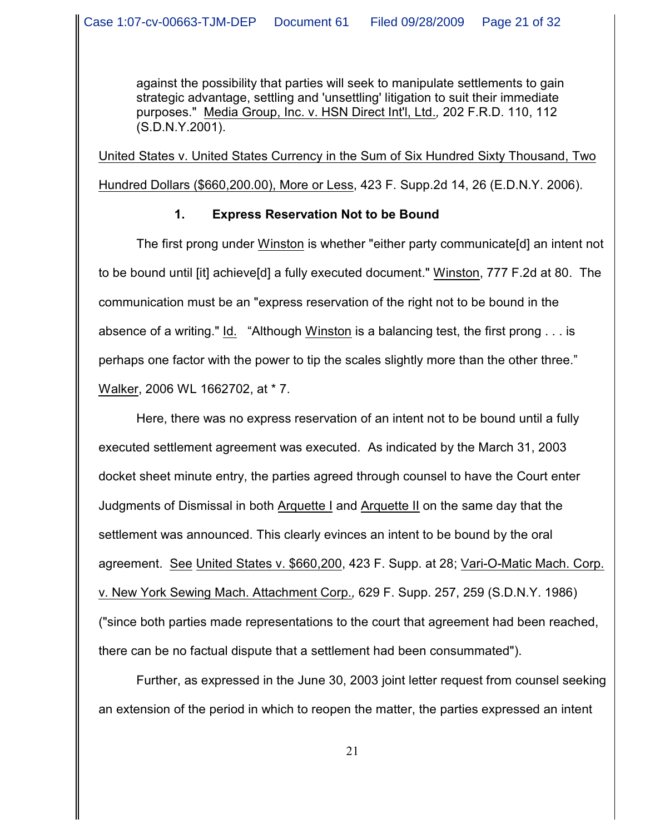against the possibility that parties will seek to manipulate settlements to gain strategic advantage, settling and 'unsettling' litigation to suit their immediate purposes." Media Group, Inc. v. HSN Direct Int'l, Ltd.*,* 202 F.R.D. 110, 112 (S.D.N.Y.2001).

United States v. United States Currency in the Sum of Six Hundred Sixty Thousand, Two Hundred Dollars (\$660,200.00), More or Less, 423 F. Supp.2d 14, 26 (E.D.N.Y. 2006).

## **1. Express Reservation Not to be Bound**

The first prong under Winston is whether "either party communicate[d] an intent not to be bound until [it] achieve[d] a fully executed document." Winston, 777 F.2d at 80. The communication must be an "express reservation of the right not to be bound in the absence of a writing." Id. "Although Winston is a balancing test, the first prong . . . is perhaps one factor with the power to tip the scales slightly more than the other three." Walker, 2006 WL 1662702, at \* 7.

Here, there was no express reservation of an intent not to be bound until a fully executed settlement agreement was executed. As indicated by the March 31, 2003 docket sheet minute entry, the parties agreed through counsel to have the Court enter Judgments of Dismissal in both Arquette I and Arquette II on the same day that the settlement was announced. This clearly evinces an intent to be bound by the oral agreement. See United States v. \$660,200, 423 F. Supp. at 28; Vari-O-Matic Mach. Corp. v. New York Sewing Mach. Attachment Corp.*,* 629 F. Supp. 257, 259 (S.D.N.Y. 1986) ("since both parties made representations to the court that agreement had been reached, there can be no factual dispute that a settlement had been consummated").

Further, as expressed in the June 30, 2003 joint letter request from counsel seeking an extension of the period in which to reopen the matter, the parties expressed an intent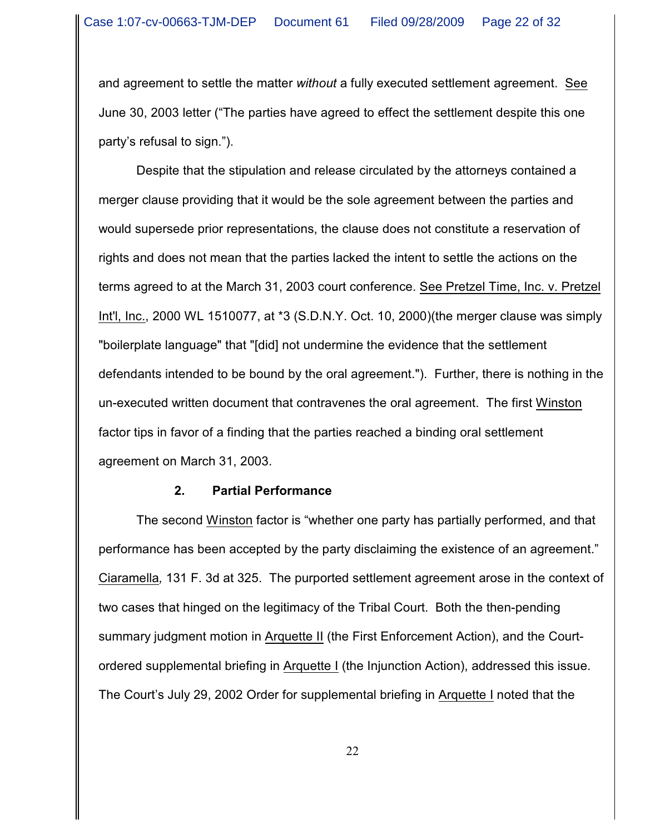and agreement to settle the matter *without* a fully executed settlement agreement. See June 30, 2003 letter ("The parties have agreed to effect the settlement despite this one party's refusal to sign.").

Despite that the stipulation and release circulated by the attorneys contained a merger clause providing that it would be the sole agreement between the parties and would supersede prior representations, the clause does not constitute a reservation of rights and does not mean that the parties lacked the intent to settle the actions on the terms agreed to at the March 31, 2003 court conference. See Pretzel Time, Inc. v. Pretzel Int'l, Inc., 2000 WL 1510077, at \*3 (S.D.N.Y. Oct. 10, 2000)(the merger clause was simply "boilerplate language" that "[did] not undermine the evidence that the settlement defendants intended to be bound by the oral agreement."). Further, there is nothing in the un-executed written document that contravenes the oral agreement. The first Winston factor tips in favor of a finding that the parties reached a binding oral settlement agreement on March 31, 2003.

#### **2. Partial Performance**

The second Winston factor is "whether one party has partially performed, and that performance has been accepted by the party disclaiming the existence of an agreement." Ciaramella*,* 131 F. 3d at 325. The purported settlement agreement arose in the context of two cases that hinged on the legitimacy of the Tribal Court. Both the then-pending summary judgment motion in Arquette II (the First Enforcement Action), and the Courtordered supplemental briefing in Arquette I (the Injunction Action), addressed this issue. The Court's July 29, 2002 Order for supplemental briefing in Arquette I noted that the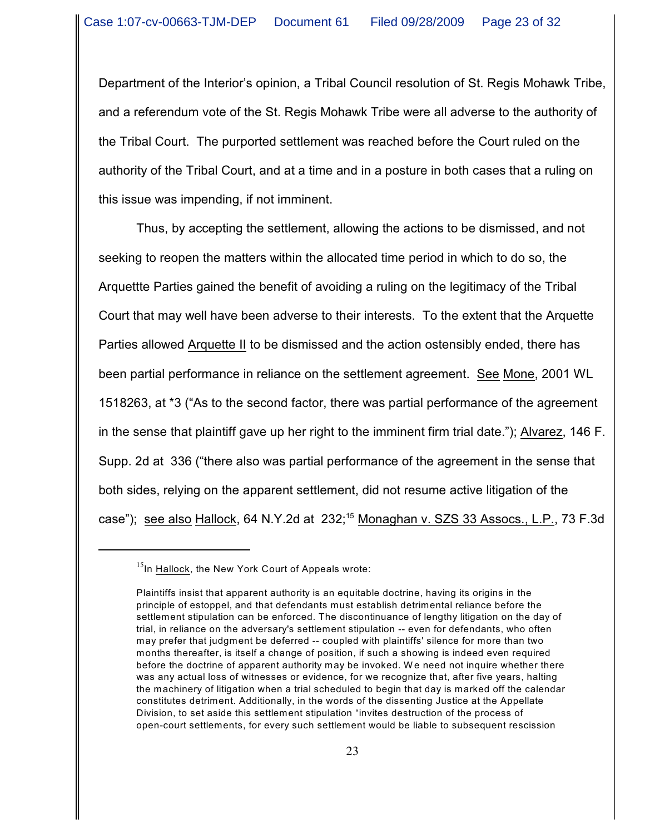Department of the Interior's opinion, a Tribal Council resolution of St. Regis Mohawk Tribe, and a referendum vote of the St. Regis Mohawk Tribe were all adverse to the authority of the Tribal Court. The purported settlement was reached before the Court ruled on the authority of the Tribal Court, and at a time and in a posture in both cases that a ruling on this issue was impending, if not imminent.

Thus, by accepting the settlement, allowing the actions to be dismissed, and not seeking to reopen the matters within the allocated time period in which to do so, the Arquettte Parties gained the benefit of avoiding a ruling on the legitimacy of the Tribal Court that may well have been adverse to their interests. To the extent that the Arquette Parties allowed Arquette II to be dismissed and the action ostensibly ended, there has been partial performance in reliance on the settlement agreement. See Mone, 2001 WL 1518263, at \*3 ("As to the second factor, there was partial performance of the agreement in the sense that plaintiff gave up her right to the imminent firm trial date."); Alvarez, 146 F. Supp. 2d at 336 ("there also was partial performance of the agreement in the sense that both sides, relying on the apparent settlement, did not resume active litigation of the case"); see also Hallock, 64 N.Y.2d at 232;<sup>15</sup> Monaghan v. SZS 33 Assocs., L.P., 73 F.3d

 $^{15}$ In Hallock, the New York Court of Appeals wrote:

Plaintiffs insist that apparent authority is an equitable doctrine, having its origins in the principle of estoppel, and that defendants must establish detrimental reliance before the settlement stipulation can be enforced. The discontinuance of lengthy litigation on the day of trial, in reliance on the adversary's settlement stipulation -- even for defendants, who often may prefer that judgment be deferred -- coupled with plaintiffs' silence for more than two months thereafter, is itself a change of position, if such a showing is indeed even required before the doctrine of apparent authority may be invoked. We need not inquire whether there was any actual loss of witnesses or evidence, for we recognize that, after five years, halting the machinery of litigation when a trial scheduled to begin that day is marked off the calendar constitutes detriment. Additionally, in the words of the dissenting Justice at the Appellate Division, to set aside this settlement stipulation "invites destruction of the process of open-court settlements, for every such settlement would be liable to subsequent rescission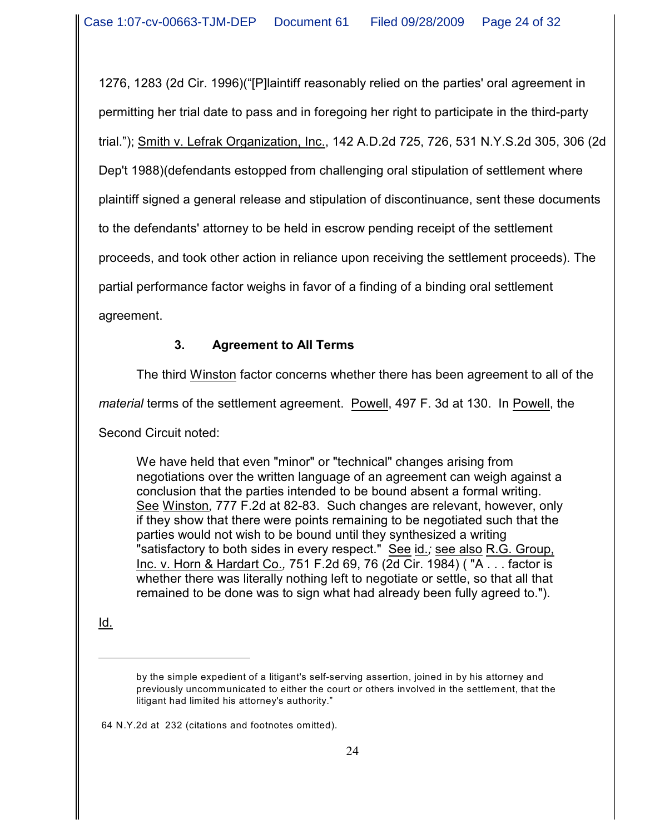1276, 1283 (2d Cir. 1996)("[P]laintiff reasonably relied on the parties' oral agreement in permitting her trial date to pass and in foregoing her right to participate in the third-party trial."); Smith v. Lefrak Organization, Inc., 142 A.D.2d 725, 726, 531 N.Y.S.2d 305, 306 (2d Dep't 1988)(defendants estopped from challenging oral stipulation of settlement where plaintiff signed a general release and stipulation of discontinuance, sent these documents to the defendants' attorney to be held in escrow pending receipt of the settlement proceeds, and took other action in reliance upon receiving the settlement proceeds). The partial performance factor weighs in favor of a finding of a binding oral settlement agreement.

# **3. Agreement to All Terms**

The third Winston factor concerns whether there has been agreement to all of the

*material* terms of the settlement agreement. Powell, 497 F. 3d at 130. In Powell, the

Second Circuit noted:

We have held that even "minor" or "technical" changes arising from negotiations over the written language of an agreement can weigh against a conclusion that the parties intended to be bound absent a formal writing. See Winston*,* 777 F.2d at 82-83. Such changes are relevant, however, only if they show that there were points remaining to be negotiated such that the parties would not wish to be bound until they synthesized a writing "satisfactory to both sides in every respect." See id.*;* see also R.G. Group, Inc. v. Horn & Hardart Co.*,* 751 F.2d 69, 76 (2d Cir. 1984) ( "A . . . factor is whether there was literally nothing left to negotiate or settle, so that all that remained to be done was to sign what had already been fully agreed to.").

Id.

64 N.Y.2d at 232 (citations and footnotes omitted).

by the simple expedient of a litigant's self-serving assertion, joined in by his attorney and previously uncommunicated to either the court or others involved in the settlement, that the litigant had limited his attorney's authority."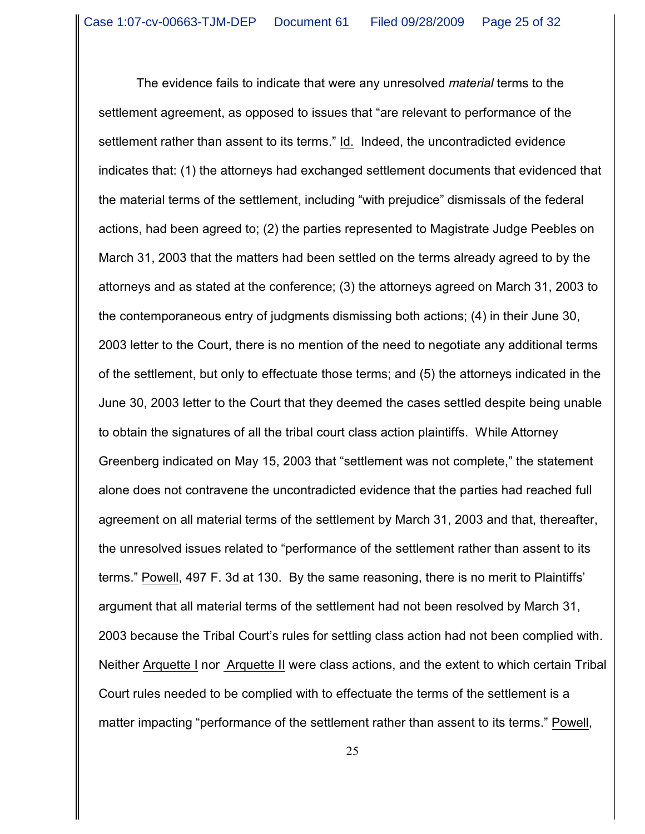The evidence fails to indicate that were any unresolved *material* terms to the settlement agreement, as opposed to issues that "are relevant to performance of the settlement rather than assent to its terms." Id. Indeed, the uncontradicted evidence indicates that: (1) the attorneys had exchanged settlement documents that evidenced that the material terms of the settlement, including "with prejudice" dismissals of the federal actions, had been agreed to; (2) the parties represented to Magistrate Judge Peebles on March 31, 2003 that the matters had been settled on the terms already agreed to by the attorneys and as stated at the conference; (3) the attorneys agreed on March 31, 2003 to the contemporaneous entry of judgments dismissing both actions; (4) in their June 30, 2003 letter to the Court, there is no mention of the need to negotiate any additional terms of the settlement, but only to effectuate those terms; and (5) the attorneys indicated in the June 30, 2003 letter to the Court that they deemed the cases settled despite being unable to obtain the signatures of all the tribal court class action plaintiffs. While Attorney Greenberg indicated on May 15, 2003 that "settlement was not complete," the statement alone does not contravene the uncontradicted evidence that the parties had reached full agreement on all material terms of the settlement by March 31, 2003 and that, thereafter, the unresolved issues related to "performance of the settlement rather than assent to its terms." Powell, 497 F. 3d at 130. By the same reasoning, there is no merit to Plaintiffs' argument that all material terms of the settlement had not been resolved by March 31, 2003 because the Tribal Court's rules for settling class action had not been complied with. Neither Arquette I nor Arquette II were class actions, and the extent to which certain Tribal Court rules needed to be complied with to effectuate the terms of the settlement is a matter impacting "performance of the settlement rather than assent to its terms." Powell,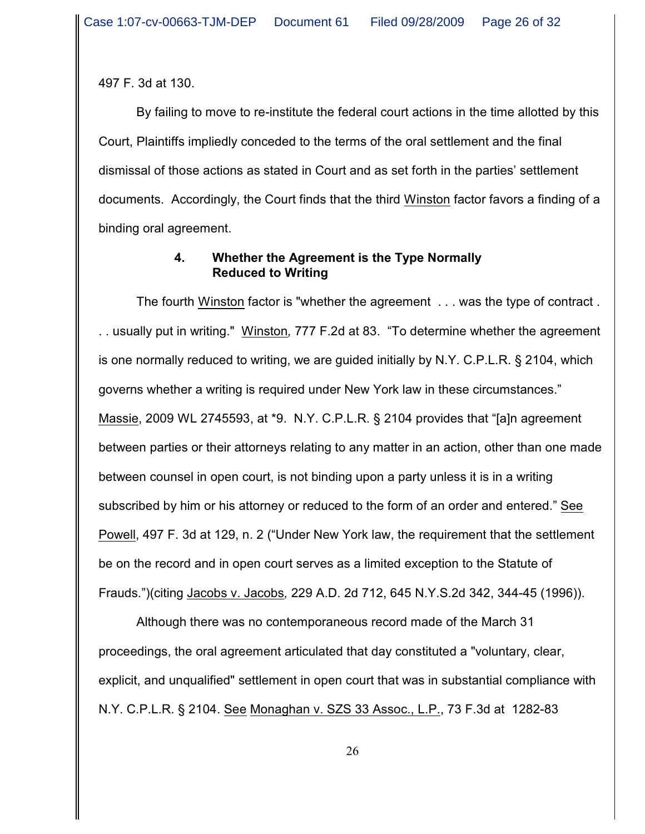497 F. 3d at 130.

By failing to move to re-institute the federal court actions in the time allotted by this Court, Plaintiffs impliedly conceded to the terms of the oral settlement and the final dismissal of those actions as stated in Court and as set forth in the parties' settlement documents. Accordingly, the Court finds that the third Winston factor favors a finding of a binding oral agreement.

## **4. Whether the Agreement is the Type Normally Reduced to Writing**

The fourth Winston factor is "whether the agreement . . . was the type of contract . . . usually put in writing." Winston*,* 777 F.2d at 83. "To determine whether the agreement is one normally reduced to writing, we are guided initially by N.Y. C.P.L.R. § 2104, which governs whether a writing is required under New York law in these circumstances." Massie, 2009 WL 2745593, at \*9. N.Y. C.P.L.R. § 2104 provides that "[a]n agreement between parties or their attorneys relating to any matter in an action, other than one made between counsel in open court, is not binding upon a party unless it is in a writing subscribed by him or his attorney or reduced to the form of an order and entered." See Powell, 497 F. 3d at 129, n. 2 ("Under New York law, the requirement that the settlement be on the record and in open court serves as a limited exception to the Statute of Frauds.")(citing Jacobs v. Jacobs*,* 229 A.D. 2d 712, 645 N.Y.S.2d 342, 344-45 (1996)).

Although there was no contemporaneous record made of the March 31 proceedings, the oral agreement articulated that day constituted a "voluntary, clear, explicit, and unqualified" settlement in open court that was in substantial compliance with N.Y. C.P.L.R. § 2104. See Monaghan v. SZS 33 Assoc., L.P., 73 F.3d at 1282-83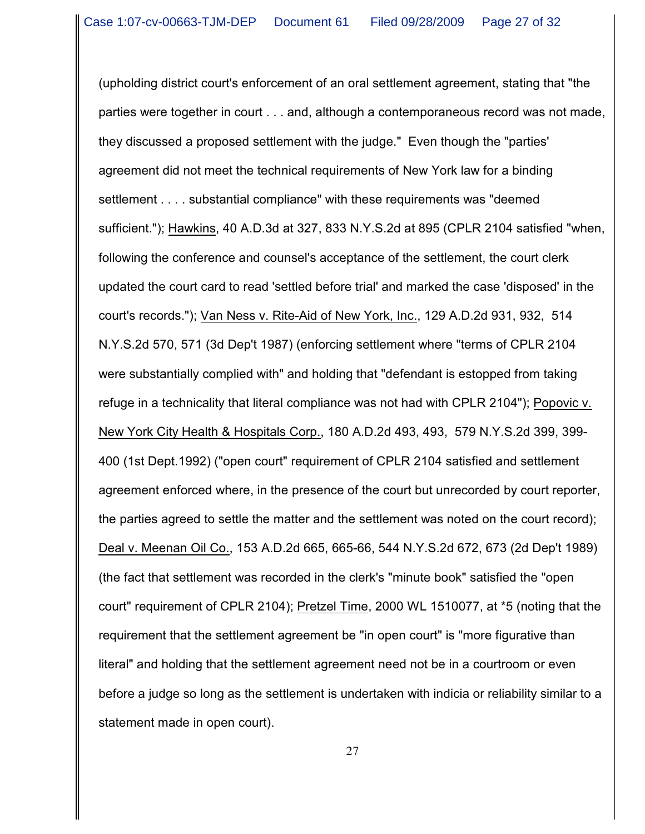(upholding district court's enforcement of an oral settlement agreement, stating that "the parties were together in court . . . and, although a contemporaneous record was not made, they discussed a proposed settlement with the judge." Even though the "parties' agreement did not meet the technical requirements of New York law for a binding settlement . . . . substantial compliance" with these requirements was "deemed sufficient."); Hawkins, 40 A.D.3d at 327, 833 N.Y.S.2d at 895 (CPLR 2104 satisfied "when, following the conference and counsel's acceptance of the settlement, the court clerk updated the court card to read 'settled before trial' and marked the case 'disposed' in the court's records."); Van Ness v. Rite-Aid of New York, Inc., 129 A.D.2d 931, 932, 514 N.Y.S.2d 570, 571 (3d Dep't 1987) (enforcing settlement where "terms of CPLR 2104 were substantially complied with" and holding that "defendant is estopped from taking refuge in a technicality that literal compliance was not had with CPLR 2104"); Popovic v. New York City Health & Hospitals Corp., 180 A.D.2d 493, 493, 579 N.Y.S.2d 399, 399- 400 (1st Dept.1992) ("open court" requirement of CPLR 2104 satisfied and settlement agreement enforced where, in the presence of the court but unrecorded by court reporter, the parties agreed to settle the matter and the settlement was noted on the court record); Deal v. Meenan Oil Co., 153 A.D.2d 665, 665-66, 544 N.Y.S.2d 672, 673 (2d Dep't 1989) (the fact that settlement was recorded in the clerk's "minute book" satisfied the "open court" requirement of CPLR 2104); Pretzel Time, 2000 WL 1510077, at \*5 (noting that the requirement that the settlement agreement be "in open court" is "more figurative than literal" and holding that the settlement agreement need not be in a courtroom or even before a judge so long as the settlement is undertaken with indicia or reliability similar to a statement made in open court).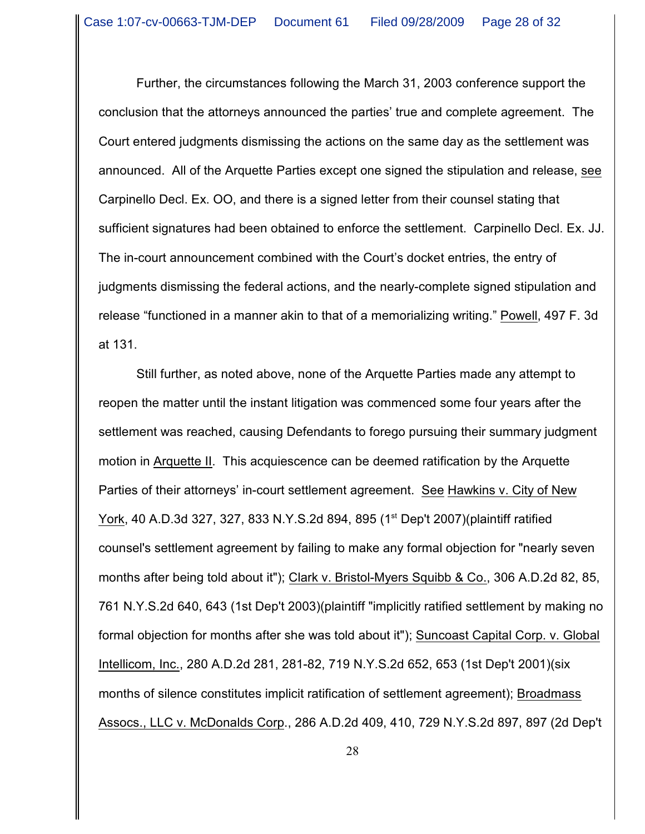Further, the circumstances following the March 31, 2003 conference support the conclusion that the attorneys announced the parties' true and complete agreement. The Court entered judgments dismissing the actions on the same day as the settlement was announced. All of the Arquette Parties except one signed the stipulation and release, see Carpinello Decl. Ex. OO, and there is a signed letter from their counsel stating that sufficient signatures had been obtained to enforce the settlement. Carpinello Decl. Ex. JJ. The in-court announcement combined with the Court's docket entries, the entry of judgments dismissing the federal actions, and the nearly-complete signed stipulation and release "functioned in a manner akin to that of a memorializing writing." Powell, 497 F. 3d at 131.

Still further, as noted above, none of the Arquette Parties made any attempt to reopen the matter until the instant litigation was commenced some four years after the settlement was reached, causing Defendants to forego pursuing their summary judgment motion in Arquette II. This acquiescence can be deemed ratification by the Arquette Parties of their attorneys' in-court settlement agreement. See Hawkins v. City of New York, 40 A.D.3d 327, 327, 833 N.Y.S.2d 894, 895 (1<sup>st</sup> Dep't 2007) (plaintiff ratified counsel's settlement agreement by failing to make any formal objection for "nearly seven months after being told about it"); Clark v. Bristol-Myers Squibb & Co., 306 A.D.2d 82, 85, 761 N.Y.S.2d 640, 643 (1st Dep't 2003)(plaintiff "implicitly ratified settlement by making no formal objection for months after she was told about it"); Suncoast Capital Corp. v. Global Intellicom, Inc., 280 A.D.2d 281, 281-82, 719 N.Y.S.2d 652, 653 (1st Dep't 2001)(six months of silence constitutes implicit ratification of settlement agreement); Broadmass Assocs., LLC v. McDonalds Corp., 286 A.D.2d 409, 410, 729 N.Y.S.2d 897, 897 (2d Dep't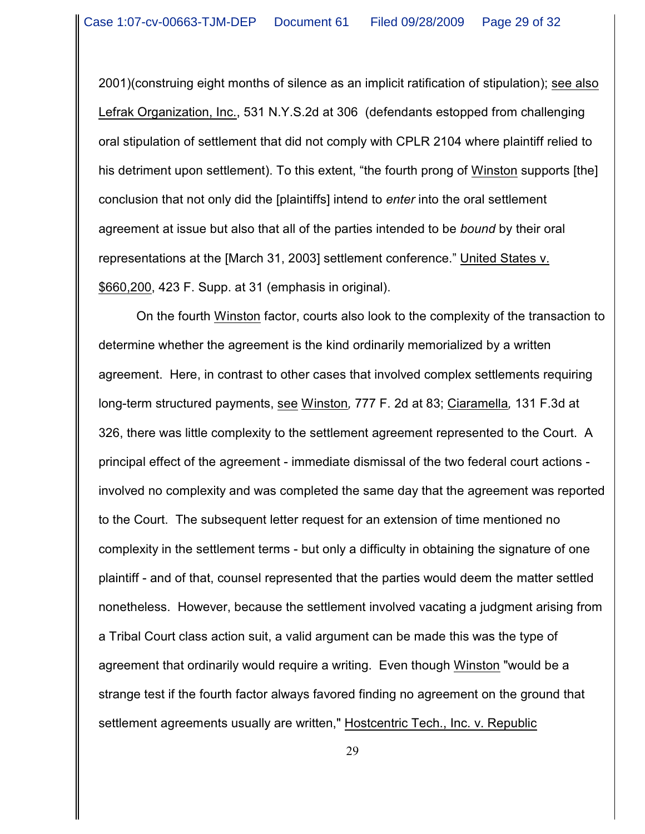2001)(construing eight months of silence as an implicit ratification of stipulation); see also Lefrak Organization, Inc., 531 N.Y.S.2d at 306 (defendants estopped from challenging oral stipulation of settlement that did not comply with CPLR 2104 where plaintiff relied to his detriment upon settlement). To this extent, "the fourth prong of Winston supports [the] conclusion that not only did the [plaintiffs] intend to *enter* into the oral settlement agreement at issue but also that all of the parties intended to be *bound* by their oral representations at the [March 31, 2003] settlement conference." United States v. \$660,200, 423 F. Supp. at 31 (emphasis in original).

On the fourth Winston factor, courts also look to the complexity of the transaction to determine whether the agreement is the kind ordinarily memorialized by a written agreement. Here, in contrast to other cases that involved complex settlements requiring long-term structured payments, see Winston*,* 777 F. 2d at 83; Ciaramella*,* 131 F.3d at 326, there was little complexity to the settlement agreement represented to the Court. A principal effect of the agreement - immediate dismissal of the two federal court actions involved no complexity and was completed the same day that the agreement was reported to the Court. The subsequent letter request for an extension of time mentioned no complexity in the settlement terms - but only a difficulty in obtaining the signature of one plaintiff - and of that, counsel represented that the parties would deem the matter settled nonetheless. However, because the settlement involved vacating a judgment arising from a Tribal Court class action suit, a valid argument can be made this was the type of agreement that ordinarily would require a writing. Even though Winston "would be a strange test if the fourth factor always favored finding no agreement on the ground that settlement agreements usually are written," Hostcentric Tech., Inc. v. Republic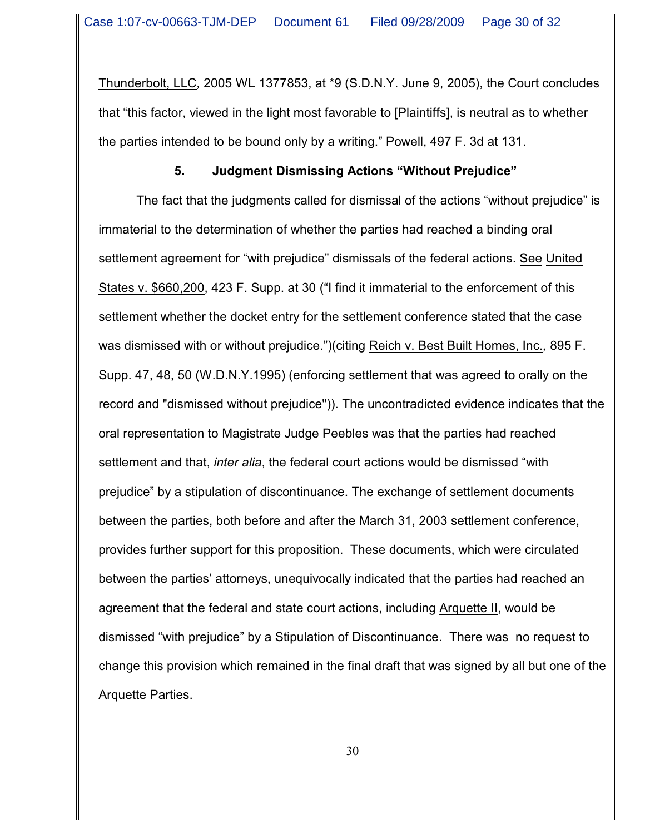Thunderbolt, LLC*,* 2005 WL 1377853, at \*9 (S.D.N.Y. June 9, 2005), the Court concludes that "this factor, viewed in the light most favorable to [Plaintiffs], is neutral as to whether the parties intended to be bound only by a writing." Powell, 497 F. 3d at 131.

#### **5. Judgment Dismissing Actions "Without Prejudice"**

The fact that the judgments called for dismissal of the actions "without prejudice" is immaterial to the determination of whether the parties had reached a binding oral settlement agreement for "with prejudice" dismissals of the federal actions. See United States v. \$660,200, 423 F. Supp. at 30 ("I find it immaterial to the enforcement of this settlement whether the docket entry for the settlement conference stated that the case was dismissed with or without prejudice.")(citing Reich v. Best Built Homes, Inc.*,* 895 F. Supp. 47, 48, 50 (W.D.N.Y.1995) (enforcing settlement that was agreed to orally on the record and "dismissed without prejudice")). The uncontradicted evidence indicates that the oral representation to Magistrate Judge Peebles was that the parties had reached settlement and that, *inter alia*, the federal court actions would be dismissed "with prejudice" by a stipulation of discontinuance. The exchange of settlement documents between the parties, both before and after the March 31, 2003 settlement conference, provides further support for this proposition. These documents, which were circulated between the parties' attorneys, unequivocally indicated that the parties had reached an agreement that the federal and state court actions, including Arquette II, would be dismissed "with prejudice" by a Stipulation of Discontinuance. There was no request to change this provision which remained in the final draft that was signed by all but one of the Arquette Parties.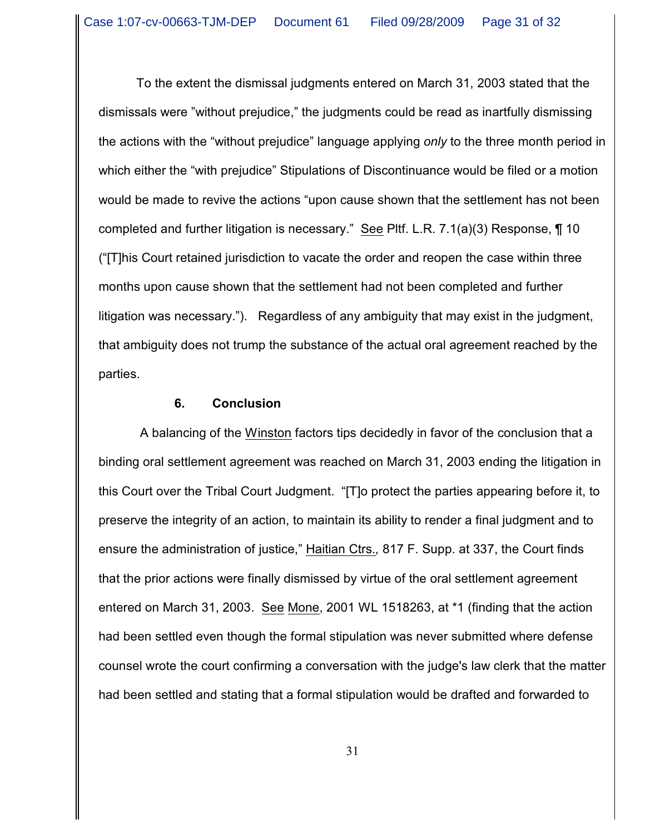To the extent the dismissal judgments entered on March 31, 2003 stated that the dismissals were "without prejudice," the judgments could be read as inartfully dismissing the actions with the "without prejudice" language applying *only* to the three month period in which either the "with prejudice" Stipulations of Discontinuance would be filed or a motion would be made to revive the actions "upon cause shown that the settlement has not been completed and further litigation is necessary." See Pltf. L.R. 7.1(a)(3) Response, ¶ 10 ("[T]his Court retained jurisdiction to vacate the order and reopen the case within three months upon cause shown that the settlement had not been completed and further litigation was necessary."). Regardless of any ambiguity that may exist in the judgment, that ambiguity does not trump the substance of the actual oral agreement reached by the parties.

#### **6. Conclusion**

 A balancing of the Winston factors tips decidedly in favor of the conclusion that a binding oral settlement agreement was reached on March 31, 2003 ending the litigation in this Court over the Tribal Court Judgment. "[T]o protect the parties appearing before it, to preserve the integrity of an action, to maintain its ability to render a final judgment and to ensure the administration of justice," Haitian Ctrs.*,* 817 F. Supp. at 337, the Court finds that the prior actions were finally dismissed by virtue of the oral settlement agreement entered on March 31, 2003. See Mone, 2001 WL 1518263, at \*1 (finding that the action had been settled even though the formal stipulation was never submitted where defense counsel wrote the court confirming a conversation with the judge's law clerk that the matter had been settled and stating that a formal stipulation would be drafted and forwarded to